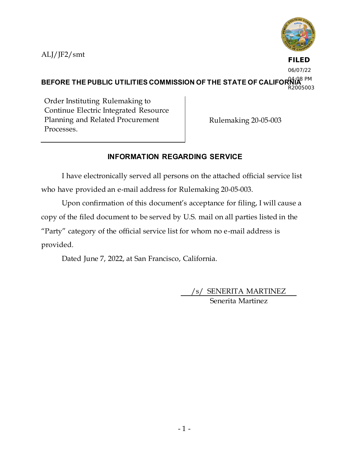ALJ/JF2/smt



**FILED** 06/07/22

BEFORE THE PUBLIC UTILITIES COMMISSION OF THE STATE OF CALIFOR  $\mathsf{NLS}^\mathrm{BPM}$ R2005003

Order Instituting Rulemaking to Continue Electric Integrated Resource Planning and Related Procurement Processes.

Rulemaking 20-05-003

# **INFORMATION REGARDING SERVICE**

I have electronically served all persons on the attached official service list who have provided an e-mail address for Rulemaking 20-05-003.

Upon confirmation of this document's acceptance for filing, I will cause a copy of the filed document to be served by U.S. mail on all parties listed in the "Party" category of the official service list for whom no e-mail address is provided.

Dated June 7, 2022, at San Francisco, California.

/s/ SENERITA MARTINEZ Senerita Martinez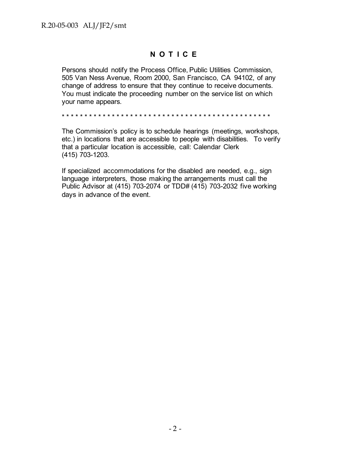# **N O T I C E**

Persons should notify the Process Office, Public Utilities Commission, 505 Van Ness Avenue, Room 2000, San Francisco, CA 94102, of any change of address to ensure that they continue to receive documents. You must indicate the proceeding number on the service list on which your name appears.

\* \* \* \* \* \* \* \* \* \* \* \* \* \* \* \* \* \* \* \* \* \* \* \* \* \* \* \* \* \* \* \* \* \* \* \* \* \* \* \* \* \* \* \* \* \*

The Commission's policy is to schedule hearings (meetings, workshops, etc.) in locations that are accessible to people with disabilities. To verify that a particular location is accessible, call: Calendar Clerk (415) 703-1203.

If specialized accommodations for the disabled are needed, e.g., sign language interpreters, those making the arrangements must call the Public Advisor at (415) 703-2074 or TDD# (415) 703-2032 five working days in advance of the event.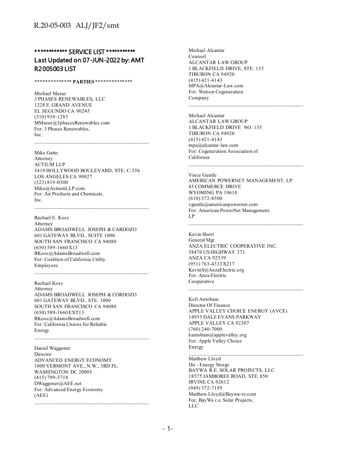## \*\*\*\*\*\*\*\*\*\*\*\* SERVICE LIST \*\*\*\*\*\*\*\*\*\*\* Last Updated on 07-JUN-2022 by: AMT R2005003 LIST

#### **\*\*\*\*\*\*\*\*\*\*\*\*\*\* PARTIES \*\*\*\*\*\*\*\*\*\*\*\*\*\***

Michael Mazur 3 PHASES RENEWABLES, LLC 1228 E. GRAND AVENUE EL SEGUNDO CA 90245 (310) 939-1283 MMazur@3phasesRenewables.com For: 3 Phases Renewables, Inc.

Mike Gatto

Attorney ACTIUM LLP 5419 HOLLYWOOD BOULEVARD, STE. C-356 LOS ANGELES CA 90027 (323) 819-0300 Mike@ActiumLLP.com For: Air Products and Chemicals, Inc.

Rachael E. Koss Attorney ADAMS BROADWELL JOSEPH & CARDOZO 601 GATEWAY BLVD., SUITE 1000 SOUTH SAN FRANCISCO CA 94080 (650) 589-1660 X13 RKoss@AdamsBroadwell.com For: Coalition of California Utility Employees

 $\mathcal{L}_\text{max}$  and the contract of the contract of the contract of the contract of the contract of the contract of the contract of the contract of the contract of the contract of the contract of the contract of the contrac

Rachael Koss Attorney ADAMS BROADWELL JOSEPH & CORDOZO 601 GATEWAY BLVD., STE. 1000 SOUTH SAN FRANCISCO CA 94080 (650) 589-1660 EXT13 RKoss@AdamsBroadwell.com For: California Unions for Reliable Energy

Daniel Waggoner Director ADVANCED ENERGY ECONOMY 1000 VERMONT AVE., N.W., 3RD FL. WASHINGTON DC 20005 (415) 799-3718 DWaggoner@AEE.net For: Advanced Energy Economy (AEE)

Michael Alcantar Counsel ALCANTAR LAW GROUP 1 BLACKFIELD DRIVE, STE. 135 TIBURON CA 94920 (415) 421-4143 MPA@Alcantar-Law.com For: Watson Cogeneration Company

Michael Alcantar ALCANTAR LAW GROUP 1 BLACKFIELD DRIVE NO. 135 TIBURON CA 94920 (415) 421-4143 mpa@alcantar-law.com For: Cogeneration Association of California

Vince Guntle

AMERICAN POWERNET MANAGEMENT, LP 45 COMMERCE DRIVE WYOMING PA 19610 (610) 372-8500 vguntle@americanpowernet.com For: American PowerNet Management, LP

 $\mathcal{L}_\text{max}$  and the contract of the contract of the contract of the contract of the contract of the contract of the contract of the contract of the contract of the contract of the contract of the contract of the contrac

Kevin Short General Mgr. ANZA ELECTRIC COOPERATIVE INC. 58470 US HIGHWAY 371 ANZA CA 92539 (951) 763-4333 X217 KevinS@AnzaElectric.org For: Anza Electric Cooperative

Kofi Antobam Director Of Finance APPLE VALLEY CHOICE ENERGY (AVCE) 14955 DALE EVANS PARKWAY APPLE VALLEY CA 92307 (760) 240-7000 kantobam@applevalley.org For: Apple Valley Choice Energy

 $\mathcal{L}_\text{max}$  and the contract of the contract of the contract of the contract of the contract of the contract of the contract of the contract of the contract of the contract of the contract of the contract of the contrac

Matthew Lloyd Dir - Energy Storge BAYWA R.E. SOLAR PROJECTS, LLC 18575 JAMBOREE ROAD, STE. 850 IRVINE CA 92612 (949) 372-7195 Matthew.Lloyd@Baywa-re.com For: BayWa r.e. Solar Projects, LLC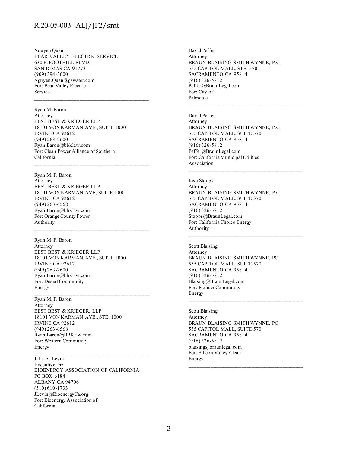Nquyen Quan BEAR VALLEY ELECTRIC SERVICE 630 E. FOOTHILL BLVD. SAN DIMAS CA 91773 (909) 394-3600 Nguyen.Quan@gswater.com For: Bear Valley Electric Service

Ryan M. Baron Attorney BEST BEST & KRIEGER LLP 18101 VON KARMAN AVE., SUITE 1000 IRVINE CA 92612 (949) 263-2600 Ryan.Baron@bbklaw.com For: Clean Power Alliance of Southern California

 $\mathcal{L}_\text{max}$  and the contract of the contract of the contract of the contract of the contract of the contract of the contract of the contract of the contract of the contract of the contract of the contract of the contrac

Ryan M. F. Baron Attorney BEST BEST & KRIEGER LLP 18101 VON KARMAN AVE, SUITE 1000 IRVINE CA 92612 (949) 263-6568 Ryan.Baron@bbklaw.com For: Orange County Power Authority

Ryan M. F. Baron Attorney BEST BEST & KRIEGER LLP 18101 VON KARMAN AVE., SUITE 1000 IRVINE CA 92612 (949) 263-2600 Ryan.Baron@bbklaw.com For: Desert Community Energy

Ryan M. F. Baron Attorney BEST BEST & KRIEGER, LLP 18101 VON KARMAN AVE., STE. 1000 IRVINE CA 92612 (949) 263-6568 Ryan.Baron@BBKlaw.com For: Western Community Energy

Julia A. Levin Executive Dir BIOENERGY ASSOCIATION OF CALIFORNIA PO BOX 6184 ALBANY CA 94706 (510) 610-1733 JLevin@BioenergyCa.org For: Bioenergy Association of California

 $\mathcal{L}_\text{max}$  and the contract of the contract of the contract of the contract of the contract of the contract of the contract of the contract of the contract of the contract of the contract of the contract of the contrac

David Peffer Attorney BRAUN BLAISING SMITH WYNNE, P.C. 555 CAPITOL MALL, STE. 570 SACRAMENTO CA 95814 (916) 326-5812 Peffer@BraunLegal.com For: City of Palmdale

David Peffer Attorney BRAUN BLAISING SMITH WYNNE, P.C. 555 CAPITOL MALL, SUITE 570 SACRAMENTO CA 95814 (916) 326-5812 Peffer@BraunLegal.com For: California Municipal Utilities Association

 $\mathcal{L}_\text{max}$  and the contract of the contract of the contract of the contract of the contract of the contract of the contract of the contract of the contract of the contract of the contract of the contract of the contrac

Josh Stoops Attorney BRAUN BLAISING SMITH WYNNE, P.C. 555 CAPITOL MALL, SUITE 570 SACRAMENTO CA 95814 (916) 326-5812 Stoops@BraunLegal.com For: California Choice Energy Authority

Scott Blaising Attorney BRAUN BLAISING SMITH WYNNE, PC 555 CAPITOL MALL, SUITE 570 SACRAMENTO CA 95814 (916) 326-5812 Blaising@BraunLegal.com For: Pioneer Community Energy

 $\mathcal{L}_\text{max}$  and the contract of the contract of the contract of the contract of the contract of the contract of the contract of the contract of the contract of the contract of the contract of the contract of the contrac

Scott Blaising Attorney BRAUN BLAISING SMITH WYNNE, PC 555 CAPITOL MALL, SUITE 570 SACRAMENTO CA 95814 (916) 326-5812 blaising@braunlegal.com For: Silicon Valley Clean Energy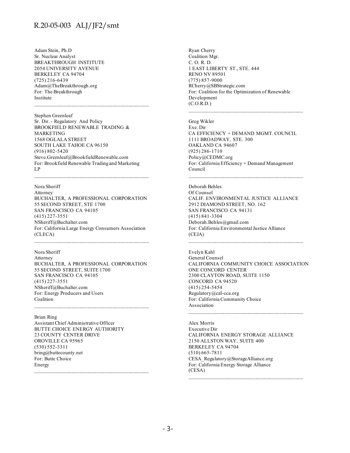Adam Stein, Ph.D Sr. Nuclear Analyst BREAKTHROUGH INSTITUTE 2054 UNIVERSITY AVENUE BERKELEY CA 94704 (725) 216-6439 Adam@TheBreakthrough.org For: The Breakthrough Institute

Stephen Greenleaf Sr. Dir. - Regulatory And Policy BROOKFIELD RENEWABLE TRADING & MARKETING 1568 OGLALA STREET SOUTH LAKE TAHOE CA 96150 (916) 802-5420 Steve.Greenleaf@BrookfieldRenewable.com For: Brookfield Renewable Trading and Marketing LP

Nora Sheriff Attorney BUCHALTER, A PROFESSIONAL CORPORATION 55 SECOND STREET, STE 1700 SAN FRANCISCO CA 94105 (415) 227-3551 NSheriff@Buchalter.com For: California Large Energy Consumers Association (CLECA)

Nora Sheriff Attorney BUCHALTER, A PROFESSIONAL CORPORATION 55 SECOND STREET, SUITE 1700 SAN FRANCISCO CA 94105 (415) 227-3551 NSheriff@Buchalter.com For: Energy Producers and Users Coalition

 $\mathcal{L}_\text{max}$  and the contract of the contract of the contract of the contract of the contract of the contract of the contract of the contract of the contract of the contract of the contract of the contract of the contrac

Brian Ring Assistant Chief Administrative Officer BUTTE CHOICE ENERGY AUTHORITY 23 COUNTY CENTER DRIVE OROVILLE CA 95965 (530) 552-3311 bring@buttecounty.net For: Butte Choice Energy

Ryan Cherry Coalition Mgr. C. O. R. D. 1 EAST LIBERTY ST., STE. 444 RENO NV 89501 (775) 857-9000 RCherry@SBStrategic.com For: Coalition for the Optimization of Renewable Development (C.O.R.D.)

Greg Wikler Exe. Dir CA EFFICIENCY + DEMAND MGMT. COUNCIL 1111 BROADWAY, STE. 300 OAKLAND CA 94607 (925) 286-1710 Policy@CEDMC.org For: California Efficiency + Demand Management Council

 $\mathcal{L}_\text{max}$  and the contract of the contract of the contract of the contract of the contract of the contract of the contract of the contract of the contract of the contract of the contract of the contract of the contrac

Deborah Behles Of Counsel CALIF. ENVIRONMENTAL JUSTICE ALLIANCE 2912 DIAMOND STREET, NO. 162 SAN FRANCISCO CA 94131 (415) 841-3304 Deborah.Behles@gmail.com For: California Environmental Justice Alliance (CEJA)

Evelyn Kahl General Counsel CALIFORNIA COMMUNITY CHOICE ASSOCIATION ONE CONCORD CENTER 2300 CLAYTON ROAD, SUITE 1150 CONCORD CA 94520 (415) 254-5454 Regulatory@cal-cca.org For: California Community Choice Association

 $\mathcal{L}_\text{max}$  and the contract of the contract of the contract of the contract of the contract of the contract of the contract of the contract of the contract of the contract of the contract of the contract of the contrac

Alex Morris Executive Dir CALIFORNIA ENERGY STORAGE ALLIANCE 2150 ALLSTON WAY, SUITE 400 BERKELEY CA 94704 (510) 665-7811 CESA\_Regulatory@StorageAlliance.org For: California Energy Storage Alliance (CESA)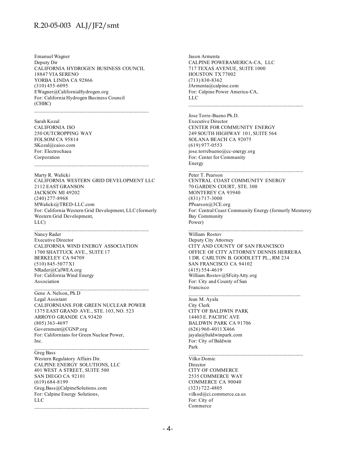Emanuel Wagner Deputy Dir CALIFORNIA HYDROGEN BUSINESS COUNCIL 18847 VIA SERENO YORBA LINDA CA 92866 (310) 455-6095 EWagner@CaliforniaHydrogen.org For: California Hydrogen Business Council (CHBC)

 $\mathcal{L}_\text{max}$  and the contract of the contract of the contract of the contract of the contract of the contract of the contract of the contract of the contract of the contract of the contract of the contract of the contrac

Sarah Kozal CALIFORNIA ISO 250 OUTCROPPING WAY FOLSOM CA 95814 SKozal@caiso.com For: Electrochaea Corporation  $\mathcal{L}_\text{max}$  and the contract of the contract of the contract of the contract of the contract of the contract of the contract of the contract of the contract of the contract of the contract of the contract of the contrac

Marty R. Walicki CALIFORNIA WESTERN GRID DEVELOPMENT LLC 2112 EAST GRANSON JACKSON MI 49202 (240) 277-8968 MWalicki@TRED-LLC.com For: California Western Grid Development, LLC (formerly Western Grid Development, LLC)

Nancy Rader Executive Director CALIFORNIA WIND ENERGY ASSOCIATION 1700 SHATTUCK AVE., SUITE 17 BERKELEY CA 94709 (510) 845-5077 X1 NRader@CalWEA.org For: California Wind Energy Association

Gene A. Nelson, Ph.D Legal Assistant CALIFORNIANS FOR GREEN NUCLEAR POWER 1375 EAST GRAND AVE., STE. 103, NO. 523 ARROYO GRANDE CA 93420 (805) 363-4697 Government@CGNP.org For: Californians for Green Nuclear Power, Inc.

 $\mathcal{L}_\text{max}$  and the contract of the contract of the contract of the contract of the contract of the contract of the contract of the contract of the contract of the contract of the contract of the contract of the contrac

Greg Bass

Western Regulatory Affairs Dir. CALPINE ENERGY SOLUTIONS, LLC 401 WEST A STREET, SUITE 500 SAN DIEGO CA 92101 (619) 684-8199 Greg.Bass@CalpineSolutions.com For: Calpine Energy Solutions, LLC

Jason Armenta CALPINE POWERAMERICA-CA, LLC 717 TEXAS AVENUE, SUITE 1000 HOUSTON TX 77002 (713) 830-8362 JArmenta@calpine.com For: Calpine Power America-CA, LLC

Jose Torre-Bueno Ph.D. Executive Director CENTER FOR COMMUNITY ENERGY 249 SOUTH HIGHWAY 101, SUITE 564 SOLANA BEACH CA 92075 (619) 977-0553 jose.torrebueno@cc-energy.org For: Center for Community Energy

Peter T. Pearson

CENTRAL COAST COMMUNITY ENERGY 70 GARDEN COURT, STE. 300 MONTEREY CA 93940 (831) 717-3000 PPearson@3CE.org For: Central Coast Community Energy (formerly Monterey Bay Community Power)

 $\mathcal{L}_\text{max}$  and the contract of the contract of the contract of the contract of the contract of the contract of the contract of the contract of the contract of the contract of the contract of the contract of the contrac

William Rostov Deputy City Attorney CITY AND COUNTY OF SAN FRANCISCO OFFICE OF CITY ATTORNEY DENNIS HERRERA 1 DR. CARLTON B. GOODLETT PL., RM 234 SAN FRANCISCO CA 94102 (415) 554-4619 William.Rostov@SFcityAtty.org For: City and County of San Francisco

 $\mathcal{L}_\text{max}$  and the contract of the contract of the contract of the contract of the contract of the contract of the contract of the contract of the contract of the contract of the contract of the contract of the contrac

Jean M. Ayala City Clerk CITY OF BALDWIN PARK 14403 E. PACIFIC AVE BALDWIN PARK CA 91706 (626) 960-4011 X466 jayala@baldwinpark.com For: City of Baldwin Park

Vilko Domic Director CITY OF COMMERCE 2535 COMMERCE WAY COMMERCE CA 90040 (323) 722-4805 vilkod@ci.commerce.ca.us For: City of Commerce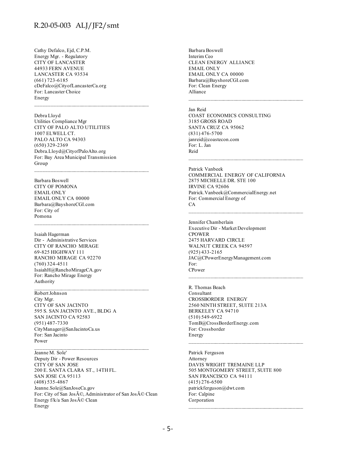Cathy Defalco, Ejd, C.P.M. Energy Mgr. - Regulatory CITY OF LANCASTER 44933 FERN AVENUE LANCASTER CA 93534 (661) 723-6185 cDeFalco@CityofLancasterCa.org For: Lancaster Choice Energy

Debra Lloyd Utilities Compliance Mgr

CITY OF PALO ALTO UTILITIES 1007 ELWELL CT. PALO ALTO CA 94303 (650) 329-2369 Debra.Lloyd@CityofPaloAlto.org For: Bay Area Municipal Transmission Group

 $\mathcal{L}_\text{max}$  and the contract of the contract of the contract of the contract of the contract of the contract of the contract of the contract of the contract of the contract of the contract of the contract of the contrac

Barbara Boswell

CITY OF POMONA EMAIL ONLY EMAIL ONLY CA 00000 Barbara@BayshoreCGI.com For: City of Pomona

Isaiah Hagerman Dir - Administrative Services CITY OF RANCHO MIRAGE 69-825 HIGHWAY 111 RANCHO MIRAGE CA 92270 (760) 324-4511 IsaiahH@RanchoMirageCA.gov For: Rancho Mirage Energy Authority

Robert Johnson City Mgr. CITY OF SAN JACINTO 595 S. SAN JACINTO AVE., BLDG A SAN JACINTO CA 92583 (951) 487-7330 CityManager@SanJacintoCa.us For: San Jacinto Power

Jeanne M. Sole'

Deputy Dir - Power Resources CITY OF SAN JOSE 200 E. SANTA CLARA ST., 14TH FL. SAN JOSE CA 95113 (408) 535-4867 Jeanne.Sole@SanJoseCa.gov For: City of San José, Administrator of San José Clean Energy f/k/a San José Clean Energy

Barbara Boswell Interim Ceo CLEAN ENERGY ALLIANCE EMAIL ONLY EMAIL ONLY CA 00000 Barbara@BayshoreCGI.com For: Clean Energy Alliance

Jan Reid

COAST ECONOMICS CONSULTING 3185 GROSS ROAD SANTA CRUZ CA 95062 (831) 476-5700 janreid@coastecon.com For: L. Jan Reid

Patrick Vanbeek COMMERCIAL ENERGY OF CALIFORNIA 2875 MICHELLE DR. STE 100 IRVINE CA 92606 Patrick.Vanbeek@CommercialEnergy.net For: Commercial Energy of CA  $\mathcal{L}_\text{max}$  and the contract of the contract of the contract of the contract of the contract of the contract of the contract of the contract of the contract of the contract of the contract of the contract of the contrac

 $\mathcal{L}_\text{max}$  and the contract of the contract of the contract of the contract of the contract of the contract of the contract of the contract of the contract of the contract of the contract of the contract of the contrac

Jennifer Chamberlain Executive Dir - Market Development CPOWER 2475 HARVARD CIRCLE WALNUT CREEK CA 94597 (925) 433-2165 JAC@CPowerEnergyManagement.com For: CPower

R. Thomas Beach Consultant CROSSBORDER ENERGY 2560 NINTH STREET, SUITE 213A BERKELEY CA 94710 (510) 549-6922 TomB@CrossBorderEnergy.com For: Crossborder Energy

Patrick Ferguson Attorney DAVIS WRIGHT TREMAINE LLP 505 MONTGOMERY STREET, SUITE 800 SAN FRANCISCO CA 94111 (415) 276-6500 patrickferguson@dwt.com For: Calpine Corporation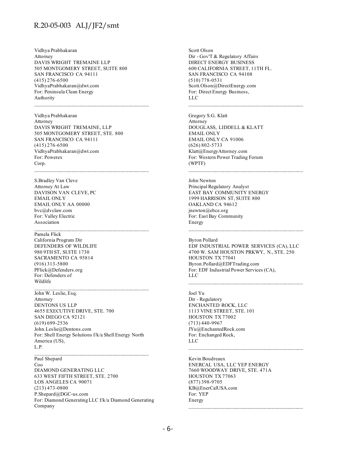Vidhya Prabhakaran Attorney DAVIS WRIGHT TREMAINE LLP 505 MONTGOMERY STREET, SUITE 800 SAN FRANCISCO CA 94111 (415) 276-6500 VidhyaPrabhakaran@dwt.com For: Peninsula Clean Energy Authority

Vidhya Prabhakaran Attorney DAVIS WRIGHT TREMAINE, LLP 505 MONTGOMERY STREET, STE. 800 SAN FRANCISCO CA 94111 (415) 276-6500 VidhyaPrabhakaran@dwt.com For: Powerex Corp.

 $\mathcal{L}_\text{max}$  and the contract of the contract of the contract of the contract of the contract of the contract of the contract of the contract of the contract of the contract of the contract of the contract of the contrac

S.Bradley Van Cleve Attorney At Law DAVISON VAN CLEVE, PC EMAIL ONLY EMAIL ONLY AA 00000 bvc@dvclaw.com For: Valley Electric Association

#### Pamela Flick

California Program Dir DEFENDERS OF WILDLIFE 980 9TH ST, SUITE 1730 SACRAMENTO CA 95814 (916) 313-5800 PFlick@Defenders.org For: Defenders of Wildlife

John W. Leslie, Esq. Attorney DENTONS US LLP 4655 EXECUTIVE DRIVE, STE. 700 SAN DIEGO CA 92121 (619) 699-2536 John.Leslie@Dentons.com For: Shell Energy Solutions f/k/a Shell Energy North America (US), L.P.

Paul Shepard Coo DIAMOND GENERATING LLC 633 WEST FIFTH STREET, STE. 2700 LOS ANGELES CA 90071 (213) 473-0800 P.Shepard@DGC-us.com For: Diamond Generating LLC f/k/a Diamond Generating Company

 $\mathcal{L}_\text{max}$  and the contract of the contract of the contract of the contract of the contract of the contract of the contract of the contract of the contract of the contract of the contract of the contract of the contrac

Scott Olson Dir - Gov'T & Regulatory Affairs DIRECT ENERGY BUSINESS 600 CALIFORNIA STREET, 11TH FL. SAN FRANCISCO CA 94108 (510) 778-0531 Scott.Olson@DirectEnergy.com For: Direct Energy Business, LLC

Gregory S.G. Klatt Attorney DOUGLASS, LIDDELL & KLATT EMAIL ONLY EMAIL ONLY CA 91006 (626) 802-5733 Klatt@EnergyAttorney.com For: Western Power Trading Forum (WPTF)

John Newton Principal Regulatory Analyst EAST BAY COMMUNITY ENERGY 1999 HARRISON ST, SUITE 800 OAKLAND CA 94612 jnewton@ebce.org For: East Bay Community Energy

Byron Pollard EDF INDUSTRIAL POWER SERVICES (CA), LLC 4700 W. SAM HOUSTON PRKWY, N., STE. 250 HOUSTON TX 77041 Byron.Pollard@EDFTrading.com For: EDF Industrial Power Services (CA), LLC

 $\mathcal{L}_\text{max}$  and the contract of the contract of the contract of the contract of the contract of the contract of the contract of the contract of the contract of the contract of the contract of the contract of the contrac

Joel Yu Dir - Regulatory ENCHANTED ROCK, LLC 1113 VINE STREET, STE. 101 HOUSTON TX 77002 (713) 440-9967 JYu@EnchantedRock.com For: Enchanged Rock, LLC

Kevin Boudreaux ENERCAL USA, LLC YEP ENERGY 7660 WOODWAY DRIVE, STE. 471A HOUSTON TX 77063 (877) 398-9705 KB@EnerCalUSA.com For: YEP Energy  $\mathcal{L}_\text{max}$  and the contract of the contract of the contract of the contract of the contract of the contract of the contract of the contract of the contract of the contract of the contract of the contract of the contrac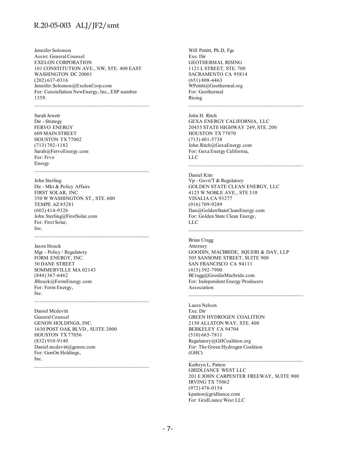Jennifer Solomon Assist. General Counsel EXELON CORPORATION 101 CONSTITUTION AVE., NW, STE. 400 EAST WASHINGTON DC 20001 (202) 637-0316 Jennifer.Solomon@ExelonCorp.com For: Constellation NewEnergy, Inc., ESP number 1359.

 $\mathcal{L}_\text{max}$  and the contract of the contract of the contract of the contract of the contract of the contract of the contract of the contract of the contract of the contract of the contract of the contract of the contrac

Sarah Jewett Dir - Strategy FERVO ENERGY 609 MAIN STREET HOUSTON TX 77002 (713) 702-1182 Sarah@FervoEnergy.com For: Frvo Energy

John Sterling Dir - Mkt & Policy Affairs FIRST SOLAR, INC. 350 W WASHINGTON ST., STE. 600 TEMPE AZ 85281 (602) 414-9326 John.Sterling@FirstSolar.com For: First Solar, Inc.

Jason Houck Mgr - Policy / Regulatory FORM ENERGY, INC. 30 DANE STREET SOMMERVILLE MA 02143 (844) 367-6462 JHouck@FormEnergy.com For: Form Energy, Inc.

Daniel Mcdevitt General Counsel GENON HOLDINGS, INC. 1630 POST OAK BLVD., SUITE 2000 HOUSTON TX 77056 (832) 910-9140 Daniel.mcdevitt@genon.com For: GenOn Holdings, Inc.

 $\mathcal{L}_\text{max}$  and the contract of the contract of the contract of the contract of the contract of the contract of the contract of the contract of the contract of the contract of the contract of the contract of the contrac

Will Pettitt, Ph.D, Fgs Exe. Dir GEOTHERMAL RISING 1121 L STREET, STE. 700 SACRAMENTO CA 95814 (651) 808-4463 WPettitt@Geothermal.org For: Geothermal Rising

John H. Ritch GEXA ENERGY CALIFORNIA, LLC 20455 STATE HIGHWAY 249, STE. 200 HOUSTON TX 77070 (713) 401-5738 John.Ritch@GexaEnergy.com For: Gexa Energy California, LLC  $\mathcal{L}_\text{max}$  and the contract of the contract of the contract of the contract of the contract of the contract of the contract of the contract of the contract of the contract of the contract of the contract of the contrac

Daniel Kim Vp - Govn'T & Regulatory GOLDEN STATE CLEAN ENERGY, LLC 4125 W NOBLE AVE., STE 310 VISALIA CA 93277 (916) 709-9289 Dan@GoldenStateCleanEnergy.com For: Golden State Clean Energy, LLC

Brian Cragg Attorney GOODIN, MACBRIDE, SQUERI & DAY, LLP 505 SANSOME STREET, SUITE 900 SAN FRANCISCO CA 94111 (415) 392-7900 BCragg@GoodinMacbride.com For: Independent Energy Producers Association

Laura Nelson Exe. Dir GREEN HYDROGEN COALITION 2150 ALLSTON WAY, STE. 400 BERKELEY CA 94704 (510) 665-7811 Regulatory@GHCoalition.org For: The Green Hydrogen Coalition (GHC)

Kathryn L. Patton GRIDLIANCE WEST LLC 201 E JOHN CARPENTER FREEWAY, SUITE 900 IRVING TX 75062 (972) 476-0154 kpatton@gridliance.com For: GridLiance West LLC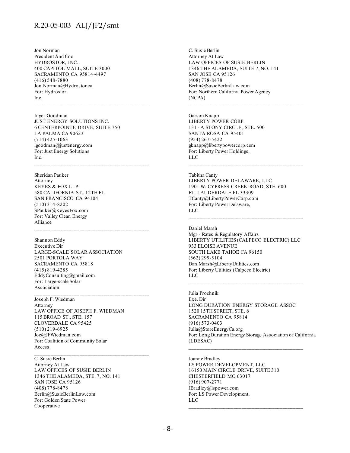Jon Norman President And Coo HYDROSTOR, INC. 400 CAPITOL MALL, SUITE 3000 SACRAMENTO CA 95814-4497 (416) 548-7880 Jon.Norman@Hydrostor.ca For: Hydrostor Inc.

Inger Goodman JUST ENERGY SOLUTIONS INC. 6 CENTERPOINTE DRIVE, SUITE 750 LA PALMA CA 90623 (714) 425-1063 igoodman@justenergy.com For: Just Energy Solutions Inc.

 $\mathcal{L}_\text{max}$  and the contract of the contract of the contract of the contract of the contract of the contract of the contract of the contract of the contract of the contract of the contract of the contract of the contrac

Sheridan Pauker Attorney KEYES & FOX LLP 580 CALIFORNIA ST., 12TH FL. SAN FRANCISCO CA 94104 (510) 314-8202 SPauker@KeyesFox.com For: Valley Clean Energy Alliance

Shannon Eddy Executive Dir LARGE-SCALE SOLAR ASSOCIATION 2501 PORTOLA WAY SACRAMENTO CA 95818 (415) 819-4285 EddyConsulting@gmail.com For: Large-scale Solar Association

Joseph F. Wiedman Attorney LAW OFFICE OF JOSEPH F. WIEDMAN 115 BROAD ST., STE. 157 CLOVERDALE CA 95425 (510) 219-6925 Joe@JFWiedman.com For: Coalition of Community Solar Access

 $\mathcal{L}_\text{max}$  and the contract of the contract of the contract of the contract of the contract of the contract of the contract of the contract of the contract of the contract of the contract of the contract of the contrac

C. Susie Berlin Attorney At Law LAW OFFICES OF SUSIE BERLIN 1346 THE ALAMEDA, STE. 7, NO. 141 SAN JOSE CA 95126 (408) 778-8478 Berlin@SusieBerlinLaw.com For: Golden State Power Cooperative

C. Susie Berlin Attorney At Law LAW OFFICES OF SUSIE BERLIN 1346 THE ALAMEDA, SUITE 7, NO. 141 SAN JOSE CA 95126 (408) 778-8478 Berlin@SusieBerlinLaw.com For: Northern California Power Agency (NCPA)

Garson Knapp LIBERTY POWER CORP. 131 - A STONY CIRCLE, STE. 500 SANTA ROSA CA 95401 (954) 267-5422 gknapp@libertypowercorp.com For: Liberty Power Holdings, LLC

Tabitha Canty LIBERTY POWER DELAWARE, LLC 1901 W. CYPRESS CREEK ROAD, STE. 600 FT. LAUDERDALE FL 33309 TCanty@LibertyPowerCorp.com

For: Liberty Power Delaware,

LLC

Daniel Marsh Mgr - Rates & Regulatory Affairs LIBERTY UTILITIES (CALPECO ELECTRIC) LLC 933 ELOISE AVENUE SOUTH LAKE TAHOE CA 96150 (562) 299-5104 Dan.Marsh@LibertyUtilities.com For: Liberty Utilities (Calpeco Electric) LLC

\_\_\_\_\_\_\_\_\_\_\_\_\_\_\_\_\_\_\_\_\_\_\_\_\_\_\_\_\_\_\_\_\_\_\_\_\_\_\_\_\_\_\_\_

 $\mathcal{L}_\text{max}$  and the contract of the contract of the contract of the contract of the contract of the contract of the contract of the contract of the contract of the contract of the contract of the contract of the contrac

Julia Prochnik Exe. Dir LONG DURATION ENERGY STORAGE ASSOC 1520 15TH STREET, STE. 6 SACRAMENTO CA 95814 (916) 573-0403 Julia@StoreEnergyCa.org For: Long Duration Energy Storage Association of California (LDESAC)

Joanne Bradley LS POWER DEVELOPMENT, LLC 16150 MAIN CIRCLE DRIVE, SUITE 310 CHESTERFIELD MO 63017 (916) 907-2771 JBradley@lspower.com For: LS Power Development, LLC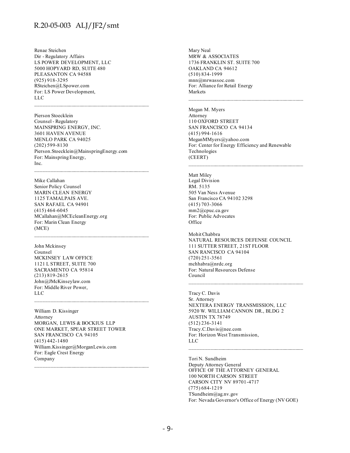Renae Steichen Dir - Regulatory Affairs LS POWER DEVELOPMENT, LLC 5000 HOPYARD RD, SUITE 480 PLEASANTON CA 94588 (925) 918-3295 RSteichen@LSpower.com For: LS Power Development, LLC

Pierson Stoecklein Counsel - Regulatory MAINSPRING ENERGY, INC. 3601 HAVEN AVENUE MENLO PARK CA 94025 (202) 599-8130 Pierson.Stoecklein@MainspringEnergy.com For: Mainspring Energy, Inc.

 $\mathcal{L}_\text{max}$  and the contract of the contract of the contract of the contract of the contract of the contract of the contract of the contract of the contract of the contract of the contract of the contract of the contrac

Mike Callahan

Senior Policy Counsel MARIN CLEAN ENERGY 1125 TAMALPAIS AVE. SAN RAFAEL CA 94901 (415) 464-6045 MCallahan@MCEcleanEnergy.org For: Marin Clean Energy (MCE)

John Mckinsey Counsel MCKINSEY LAW OFFICE 1121 L STREET, SUITE 700 SACRAMENTO CA 95814 (213) 819-2615 John@JMcKinseylaw.com For: Middle River Power, LLC

William D. Kissinger Attorney MORGAN, LEWIS & BOCKIUS LLP ONE MARKET, SPEAR STREET TOWER SAN FRANCISCO CA 94105 (415) 442-1480 William.Kissinger@MorganLewis.com For: Eagle Crest Energy Company

 $\mathcal{L}_\text{max}$  and the contract of the contract of the contract of the contract of the contract of the contract of the contract of the contract of the contract of the contract of the contract of the contract of the contrac

Mary Neal MRW & ASSOCIATES 1736 FRANKLIN ST. SUITE 700 OAKLAND CA 94612 (510) 834-1999 mnn@mrwassoc.com For: Alliance for Retail Energy Markets

Megan M. Myers **Attorney** 110 OXFORD STREET SAN FRANCISCO CA 94134 (415) 994-1616 MeganMMyers@yahoo.com For: Center for Energy Efficiency and Renewable Technologies (CEERT)

 $\mathcal{L}_\text{max}$  and the contract of the contract of the contract of the contract of the contract of the contract of the contract of the contract of the contract of the contract of the contract of the contract of the contrac

Matt Miley Legal Division RM. 5135 505 Van Ness Avenue San Francisco CA 94102 3298 (415) 703-3066 mm2@cpuc.ca.gov For: Public Advocates **Office** 

Mohit Chabbra NATURAL RESOURCES DEFENSE COUNCIL 111 SUTTER STREET, 21ST FLOOR SAN RANCISCO CA 94104 (720) 251-3561 mchhabra@nrdc.org For: Natural Resources Defense Council

Tracy C. Davis Sr. Attorney NEXTERA ENERGY TRANSMISSION, LLC 5920 W. WILLIAM CANNON DR., BLDG 2 AUSTIN TX 78749 (512) 236-3141 Tracy.C.Davis@nee.com For: Horizon West Transmission, LLC

Tori N. Sundheim Deputy Attorney General OFFICE OF THE ATTORNEY GENERAL 100 NORTH CARSON STREET CARSON CITY NV 89701-4717 (775) 684-1219 TSundheim@ag.nv.gov For: Nevada Governor's Office of Energy (NV GOE)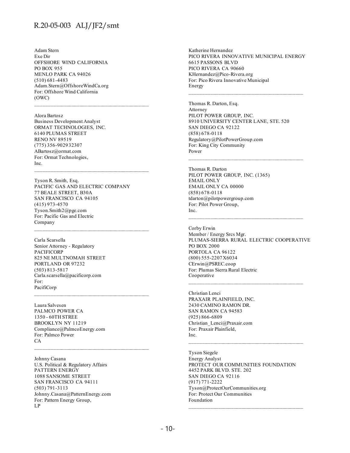Adam Stern Exe Dir OFFSHORE WIND CALIFORNIA PO BOX 955 MENLO PARK CA 94026 (510) 681-4483 Adam.Stern@OffshoreWindCa.org For: Offshore Wind California (OWC)

Alora Bartosz Business Development Analyst ORMAT TECHNOLOGIES, INC. 6140 PLUMAS STREET RENO NV 89519 (775) 356-9029 32307 ABartosz@ormat.com For: Ormat Technologies, Inc.

Tyson R. Smith, Esq. PACIFIC GAS AND ELECTRIC COMPANY 77 BEALE STREET, B30A SAN FRANCISCO CA 94105 (415) 973-4570 Tyson.Smith2@pge.com For: Pacific Gas and Electric Company

 $\mathcal{L}_\text{max}$  and the contract of the contract of the contract of the contract of the contract of the contract of the contract of the contract of the contract of the contract of the contract of the contract of the contrac

Carla Scarsella Senior Attorney - Regulatory PACIFICORP 825 NE MULTNOMAH STREET PORTLAND OR 97232 (503) 813-5817 Carla.scarsella@pacificorp.com For: PacifiCorp

Laura Salvesen PALMCO POWER CA 1350 - 60TH STREE BROOKLYN NY 11219 Compliance@PalmcoEnergy.com For: Palmco Power CA

Johnny Casana U.S. Political & Regulatory Affairs PATTERN ENERGY 1088 SANSOME STREET SAN FRANCISCO CA 94111 (503) 791-3113 Johnny.Casana@PatternEnergy.com For: Pattern Energy Group, LP

Katherine Hernandez PICO RIVERA INNOVATIVE MUNICIPAL ENERGY 6615 PASSONS BLVD PICO RIVERA CA 90660 KHernandez@Pico-Rivera.org For: Pico Rivera Innovative Municipal Energy

Thomas R. Darton, Esq. Attorney PILOT POWER GROUP, INC. 8910 UNIVERSITY CENTER LANE, STE. 520 SAN DIEGO CA 92122 (858) 678-0118 Regulatory@PilotPowerGroup.com For: King City Community Power  $\mathcal{L}_\text{max}$  and the contract of the contract of the contract of the contract of the contract of the contract of the contract of the contract of the contract of the contract of the contract of the contract of the contrac

Thomas R. Darton PILOT POWER GROUP, INC. (1365) EMAIL ONLY EMAIL ONLY CA 00000 (858) 678-0118 tdarton@pilotpowergroup.com For: Pilot Power Group, Inc.

Corby Erwin Member / Energy Srcs Mgr. PLUMAS-SIERRA RURAL ELECTRIC COOPERATIVE PO BOX 2000 PORTOLA CA 96122 (800) 555-2207 X6034 CErwin@PSREC.coop For: Plumas Sierra Rural Electric Cooperative

\_\_\_\_\_\_\_\_\_\_\_\_\_\_\_\_\_\_\_\_\_\_\_\_\_\_\_\_\_\_\_\_\_\_\_\_\_\_\_\_\_\_\_\_

Christian Lenci PRAXAIR PLAINFIELD, INC. 2430 CAMINO RAMON DR. SAN RAMON CA 94583 (925) 866-6809 Christian\_Lenci@Praxair.com For: Praxair Plainfield, Inc.

Tyson Siegele Energy Analyst PROTECT OUR COMMUNITIES FOUNDATION 4452 PARK BLVD. STE. 202 SAN DIEGO CA 92116 (917) 771-2222 Tyson@ProtectOurCommunities.org For: Protect Our Communities Foundation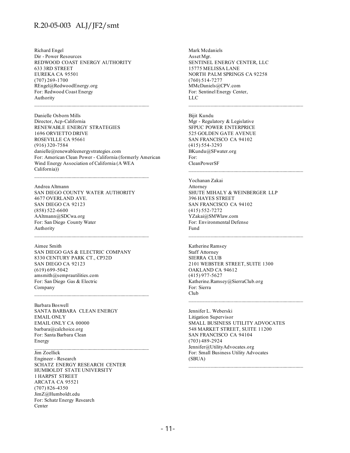Richard Engel Dir - Power Resources REDWOOD COAST ENERGY AUTHORITY 633 3RD STREET EUREKA CA 95501 (707) 269-1700 REngel@RedwoodEnergy.org For: Redwood Coast Energy Authority

Danielle Osborn Mills Director, Acp-California RENEWABLE ENERGY STRATEGIES 1696 ORVIETTO DRIVE ROSEVILLE CA 95661 (916) 320-7584 danielle@renewableenergystrategies.com For: American Clean Power - California (formerly American Wind Energy Association of California (A WEA California))

Andrea Altmann SAN DIEGO COUNTY WATER AUTHORITY 4677 OVERLAND AVE. SAN DIEGO CA 92123 (858) 522-6600 AAltmann@SDCwa.org For: San Diego County Water Authority

Aimee Smith SAN DIEGO GAS & ELECTRIC COMPANY 8330 CENTURY PARK CT., CP32D SAN DIEGO CA 92123 (619) 699-5042 amsmith@semprautilities.com For: San Diego Gas & Electric Company

Barbara Boswell SANTA BARBARA CLEAN ENERGY EMAIL ONLY EMAIL ONLY CA 00000 barbara@calchoice.org For: Santa Barbara Clean Energy

#### Jim Zoellick

Engineer - Research SCHATZ ENERGY RESEARCH CENTER HUMBOLDT STATE UNIVERSITY 1 HARPST STREET ARCATA CA 95521 (707) 826-4350 JimZ@Humboldt.edu For: Schatz Energy Research Center

Mark Mcdaniels Asset Mgr. SENTINEL ENERGY CENTER, LLC 15775 MELISSA LANE NORTH PALM SPRINGS CA 92258 (760) 514-7277 MMcDaniels@CPV.com For: Sentinel Energy Center, LLC

Bijit Kundu Mgr - Regulatory & Legislative SFPUC POWER ENTERPRICE 525 GOLDEN GATE AVENUE SAN FRANCISCO CA 94102 (415) 554-3293 BKundu@SFwater.org For: CleanPowerSF

Yochanan Zakai Attorney SHUTE MIHALY & WEINBERGER LLP 396 HAYES STREET SAN FRANCISCO CA 94102 (415) 552-7272 YZakai@SMWlaw.com For: Environmental Defense Fund

 $\mathcal{L}_\text{max}$  and the contract of the contract of the contract of the contract of the contract of the contract of the contract of the contract of the contract of the contract of the contract of the contract of the contrac

Katherine Ramsey Staff Attorney SIERRA CLUB 2101 WEBSTER STREET, SUITE 1300 OAKLAND CA 94612 (415) 977-5627 Katherine.Ramsey@SierraClub.org For: Sierra Club

Jennifer L. Weberski Litigation Supervisor SMALL BUSINESS UTILITY ADVOCATES 548 MARKET STREET, SUITE 11200 SAN FRANCISCO CA 94104 (703) 489-2924 Jennifer@UtilityAdvocates.org For: Small Business Utility Advocates (SBUA)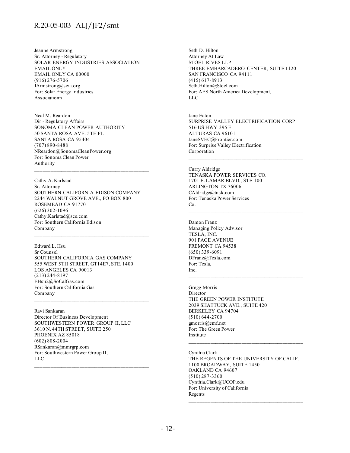Jeanne Armstrong Sr. Attorney - Regulatory SOLAR ENERGY INDUSTRIES ASSOCIATION EMAIL ONLY EMAIL ONLY CA 00000 (916) 276-5706 JArmstrong@seia.org For: Solar Energy Industries Associationn

Neal M. Reardon Dir - Regulatory Affairs SONOMA CLEAN POWER AUTHORITY 50 SANTA ROSA AVE. 5TH FL SANTA ROSA CA 95404 (707) 890-8488 NReardon@SonomaCleanPower.org For: Sonoma Clean Power Authority

Cathy A. Karlstad Sr. Attorney SOUTHERN CALIFORNIA EDISON COMPANY 2244 WALNUT GROVE AVE., PO BOX 800 ROSEMEAD CA 91770 (626) 302-1096 Cathy.Karlstad@sce.com For: Southern California Edison Company

 $\mathcal{L}_\text{max}$  and the contract of the contract of the contract of the contract of the contract of the contract of the contract of the contract of the contract of the contract of the contract of the contract of the contrac

Edward L. Hsu Sr Counsel SOUTHERN CALIFORNIA GAS COMPANY 555 WEST 5TH STREET, GT14E7, STE. 1400 LOS ANGELES CA 90013 (213) 244-8197 EHsu2@SoCalGas.com For: Southern California Gas Company  $\mathcal{L}_\text{max}$  and the contract of the contract of the contract of the contract of the contract of the contract of the contract of the contract of the contract of the contract of the contract of the contract of the contrac

Ravi Sankaran Director Of Business Development SOUTHWESTERN POWER GROUP II, LLC 3610 N. 44TH STREET, SUITE 250 PHOENIX AZ 85018 (602) 808-2004 RSankaran@mmrgrp.com For: Southwestern Power Group II, LLC

Seth D. Hilton Attorney At Law STOEL RIVES LLP THREE EMBARCADERO CENTER, SUITE 1120 SAN FRANCISCO CA 94111 (415) 617-8913 Seth.Hilton@Stoel.com For: AES North America Development, LLC

Jane Eaton SURPRISE VALLEY ELECTRIFICATION CORP 516 US HWY 395 E ALTURAS CA 96101 JaneSVEC@Frontier.com For: Surprise Valley Electrification Corporation  $\mathcal{L}_\text{max}$  and the contract of the contract of the contract of the contract of the contract of the contract of the contract of the contract of the contract of the contract of the contract of the contract of the contrac

Curry Aldridge TENASKA POWER SERVICES CO. 1701 E. LAMAR BLVD., STE 100 ARLINGTON TX 76006 CAldridge@tnsk.com For: Tenaska Power Services Co.  $\mathcal{L}_\text{max}$  and the contract of the contract of the contract of the contract of the contract of the contract of the contract of the contract of the contract of the contract of the contract of the contract of the contrac

Damon Franz Managing Policy Advisor TESLA, INC. 901 PAGE AVENUE FREMONT CA 94538 (650) 339-6091 DFranz@Tesla.com For: Tesla, Inc.

Gregg Morris Director THE GREEN POWER INSTITUTE 2039 SHATTUCK AVE., SUITE 420 BERKELEY CA 94704 (510) 644-2700 gmorris@emf.net For: The Green Power Institute

Cynthia Clark THE REGENTS OF THE UNIVERSITY OF CALIF. 1100 BROADWAY, SUITE 1450 OAKLAND CA 94607 (510) 287-3360 Cynthia.Clark@UCOP.edu For: University of California Regents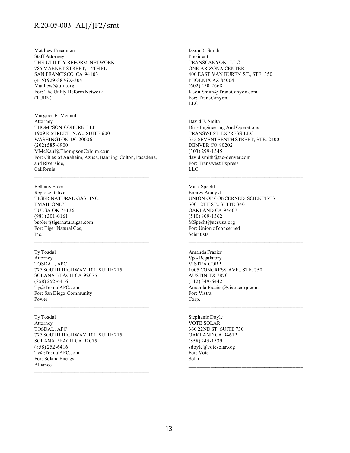Matthew Freedman Staff Attorney THE UTILITY REFORM NETWORK 785 MARKET STREET, 14TH FL SAN FRANCISCO CA 94103 (415) 929-8876 X-304 Matthew@turn.org For: The Utility Reform Network (TURN)

Margaret E. Mcnaul Attorney THOMPSON COBURN LLP 1909 K STREET, N.W., SUITE 600 WASHINGTON DC 20006 (202) 585-6900 MMcNaul@ThompsonCoburn.com For: Cities of Anaheim, Azusa, Banning, Colton, Pasadena, and Riverside, California

Bethany Soler Representative TIGER NATURAL GAS, INC. EMAIL ONLY TULSA OK 74136 (981) 301-0161 bsoler@tigernaturalgas.com For: Tiger Natural Gas, Inc.

Ty Tosdal Attorney TOSDAL, APC 777 SOUTH HIGHWAY 101, SUITE 215 SOLANA BEACH CA 92075 (858) 252-6416 Ty@TosdalAPC.com For: San Diego Community Power

 $\mathcal{L}_\text{max}$  and the contract of the contract of the contract of the contract of the contract of the contract of the contract of the contract of the contract of the contract of the contract of the contract of the contrac

Ty Tosdal Attorney TOSDAL, APC 777 SOUTH HIGHWAY 101, SUITE 215 SOLANA BEACH CA 92075 (858) 252-6416 Ty@TosdalAPC.com For: Solana Energy Alliance

Jason R. Smith President TRANSCANYON, LLC ONE ARIZONA CENTER 400 EAST VAN BUREN ST., STE. 350 PHOENIX AZ 85004 (602) 250-2668 Jason.Smith@TransCanyon.com For: TransCanyon, LLC

David F. Smith Dir - Engineering And Operations TRANSWEST EXPRESS LLC 555 SEVENTEENTH STREET, STE. 2400 DENVER CO 80202 (303) 299-1545 david.smith@tac-denver.com For: Transwest Express LLC

 $\mathcal{L}_\text{max}$  and the contract of the contract of the contract of the contract of the contract of the contract of the contract of the contract of the contract of the contract of the contract of the contract of the contrac

Mark Specht Energy Analyst UNION OF CONCERNED SCIENTISTS 500 12TH ST., SUITE 340 OAKLAND CA 94607 (510) 809-1562 MSpecht@ucsusa.org For: Union of concerned Scientists

Amanda Frazier Vp - Regulatory VISTRA CORP 1005 CONGRESS AVE., STE. 750 AUSTIN TX 78701 (512) 349-6442 Amanda.Frazier@vistracorp.com For: Vistra Corp.

 $\mathcal{L}_\text{max}$  and the contract of the contract of the contract of the contract of the contract of the contract of the contract of the contract of the contract of the contract of the contract of the contract of the contrac

Stephanie Doyle VOTE SOLAR 360 22ND ST, SUITE 730 OAKLAND CA 94612 (858) 245-1539 sdoyle@votesolar.org For: Vote Solar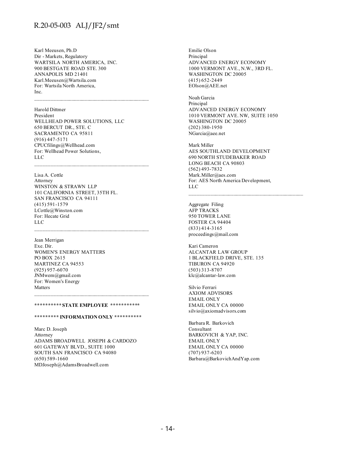Karl Meeusen, Ph.D Dir - Markets, Regulatory WARTSILA NORTH AMERICA, INC. 900 BESTGATE ROAD STE. 300 ANNAPOLIS MD 21401 Karl.Meeusen@Wartsila.com For: Wartsila North America, Inc.

Harold Dittmer President WELLHEAD POWER SOLUTIONS, LLC 650 BERCUT DR., STE. C SACRAMENTO CA 95811 (916) 447-5171 CPUCfilings@Wellhead.com For: Wellhead Power Solutions, LLC

 $\mathcal{L}_\text{max}$  and the contract of the contract of the contract of the contract of the contract of the contract of the contract of the contract of the contract of the contract of the contract of the contract of the contrac

Lisa A. Cottle Attorney WINSTON & STRAWN LLP 101 CALIFORNIA STREET, 35TH FL. SAN FRANCISCO CA 94111 (415) 591-1579 LCottle@Winston.com For: Hecate Grid LLC

Jean Merrigan Exe. Dir. WOMEN'S ENERGY MATTERS PO BOX 2615 MARTINEZ CA 94553 (925) 957-6070 JNMwem@gmail.com For: Women's Energy Matters

#### **\*\*\*\*\*\*\*\*\*\* STATE EMPLOYEE \*\*\*\*\*\*\*\*\*\*\***

#### **\*\*\*\*\*\*\*\*\* INFORMATION ONLY \*\*\*\*\*\*\*\*\*\***

Marc D. Joseph Attorney ADAMS BROADWELL JOSEPH & CARDOZO 601 GATEWAY BLVD., SUITE 1000 SOUTH SAN FRANCISCO CA 94080 (650) 589-1660 MDJoseph@AdamsBroadwell.com

Emilie Olson Principal ADVANCED ENERGY ECONOMY 1000 VERMONT AVE., N.W., 3RD FL. WASHINGTON DC 20005 (415) 652-2449 EOlson@AEE.net

Noah Garcia Principal ADVANCED ENERGY ECONOMY 1010 VERMONT AVE. NW, SUITE 1050 WASHINGTON DC 20005 (202) 380-1950 NGarcia@aee.net

Mark Miller AES SOUTHLAND DEVELOPMENT 690 NORTH STUDEBAKER ROAD LONG BEACH CA 90803 (562) 493-7832 Mark.Miller@aes.com For: AES North America Development, LLC

Aggregate Filing AFP TRACKS 950 TOWER LANE FOSTER CA 94404 (833) 414-3165 proceedings@mail.com

Kari Cameron ALCANTAR LAW GROUP 1 BLACKFIELD DRIVE, STE. 135 TIBURON CA 94920 (503) 313-8707 klc@alcantar-law.com

Silvio Ferrari AXIOM ADVISORS EMAIL ONLY EMAIL ONLY CA 00000 silvio@axiomadvisors.com

Barbara R. Barkovich Consultant BARKOVICH & YAP, INC. EMAIL ONLY EMAIL ONLY CA 00000 (707) 937-6203 Barbara@BarkovichAndYap.com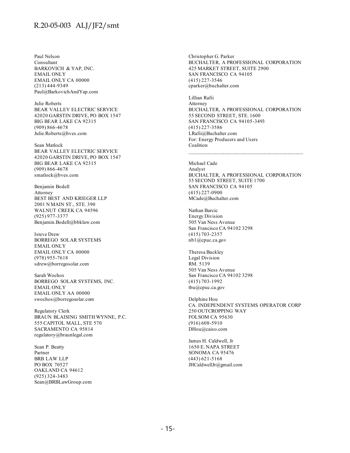Paul Nelson Consultant BARKOVICH & YAP, INC. EMAIL ONLY EMAIL ONLY CA 00000 (213) 444-9349 Paul@BarkovichAndYap.com

Julie Roberts BEAR VALLEY ELECTRIC SERVICE 42020 GARSTIN DRIVE, PO BOX 1547 BIG BEAR LAKE CA 92315 (909) 866-4678 Julie.Roberts@bves.com

Sean Matlock BEAR VALLEY ELECTRIC SERVICE 42020 GARSTIN DRIVE, PO BOX 1547 BIG BEAR LAKE CA 92315 (909) 866-4678 smatlock@bves.com

Benjamin Bodell Attorney BEST BEST AND KRIEGER LLP 2001 N MAIN ST., STE. 390 WALNUT CREEK CA 94596 (925) 977-3377 Benjamin.Bodell@bbklaw.com

Isteve Drew BORREGO SOLAR SYSTEMS EMAIL ONLY EMAIL ONLY CA 00000 (978) 955-7618 sdrew@borregosolar.com

Sarah Wochos BORREGO SOLAR SYSTEMS, INC. EMAIL ONLY EMAIL ONLY AA 00000 swochos@borregosolar.com

Regulatory Clerk BRAUN BLAISING SMITH WYNNE, P.C. 555 CAPITOL MALL, STE 570 SACRAMENTO CA 95814 regulatory@braunlegal.com

Sean P. Beatty Partner BRB LAW LLP PO BOX 70527 OAKLAND CA 94612 (925) 324-3483 Sean@BRBLawGroup.com

Christopher G. Parker BUCHALTER, A PROFESSIONAL CORPORATION 425 MARKET STREET, SUITE 2900 SAN FRANCISCO CA 94105 (415) 227-3546 cparker@buchalter.com

Lillian Rafii Attorney BUCHALTER, A PROFESSIONAL CORPORATION 55 SECOND STREET, STE. 1600 SAN FRANCISCO CA 94105-3493 (415) 227-3586 LRafii@Buchalter.com For: Energy Producers and Users Coalition

Michael Cade Analyst BUCHALTER, A PROFESSIONAL CORPORATION 55 SECOND STREET, SUITE 1700 SAN FRANCISCO CA 94105 (415) 227-0900 MCade@Buchalter.com

Nathan Barcic Energy Division 505 Van Ness Avenue San Francisco CA 94102 3298 (415) 703-2357 nb1@cpuc.ca.gov

Theresa Buckley Legal Division RM. 5139 505 Van Ness Avenue San Francisco CA 94102 3298 (415) 703-1992 tbu@cpuc.ca.gov

Delphine Hou CA. INDEPENDENT SYSTEMS OPERATOR CORP 250 OUTCROPPING WAY FOLSOM CA 95630 (916) 608-5910 DHou@caiso.com

James H. Caldwell, Jr 1650 E. NAPA STREET SONOMA CA 95476 (443) 621-5168 JHCaldwellJr@gmail.com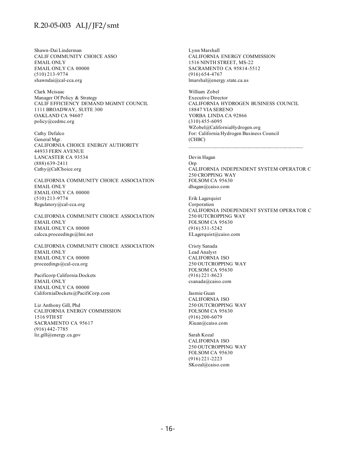Shawn-Dai Linderman CALIF COMMUNITY CHOICE ASSO EMAIL ONLY EMAIL ONLY CA 00000 (510) 213-9774 shawndai@cal-cca.org

Clark Mcisaac Manager Of Policy & Strategy CALIF EFFICIENCY DEMAND MGMNT COUNCIL 1111 BROADWAY, SUITE 300 OAKLAND CA 94607 policy@cedmc.org

Cathy Defalco General Mgr. CALIFORNIA CHOICE ENERGY AUTHORITY 44933 FERN AVENUE LANCASTER CA 93534 (888) 639-2411 Cathy@CalChoice.org

CALIFORNIA COMMUNITY CHOICE ASSOCIATION EMAIL ONLY EMAIL ONLY CA 00000 (510) 213-9774 Regulatory@cal-cca.org

CALIFORNIA COMMUNITY CHOICE ASSOCIATION EMAIL ONLY EMAIL ONLY CA 00000 calcca.proceedings@lmi.net

CALIFORNIA COMMUNITY CHOICE ASSOCIATION EMAIL ONLY EMAIL ONLY CA 00000 proceedings@cal-cca.org

Pacificorp California Dockets EMAIL ONLY EMAIL ONLY CA 00000 CaliforniaDockets@PacifiCorp.com

Liz Anthony Gill, Phd CALIFORNIA ENERGY COMMISSION 1516 9TH ST SACRAMENTO CA 95617 (916) 442-7785 liz.gill@energy.ca.gov

Lynn Marshall CALIFORNIA ENERGY COMMISSION 1516 NINTH STREET, MS-22 SACRAMENTO CA 95814-5512 (916) 654-4767 lmarshal@energy.state.ca.us

William Zobel Executive Director CALIFORNIA HYDROGEN BUSINESS COUNCIL 18847 VIA SERENO YORBA LINDA CA 92866 (310) 455-6095 WZobel@CaliforniaHydrogen.org For: California Hydrogen Business Council (CHBC)

Devin Hagan Orp CALIFORNIA INDEPENDENT SYSTEM OPERATOR C 250 CROPPING WAY FOLSOM CA 95630 dhagan@caiso.com

Erik Lagerquist Corporation CALIFORNIA INDEPENDENT SYSTEM OPERATOR C 250 0UTCROPPING WAY FOLSOM CA 95630 (916) 531-5242 ELagerquist@caiso.com

Cristy Sanada Lead Analyst CALIFORNIA ISO 250 OUTCROPPING WAY FOLSOM CA 95630 (916) 221-8623 csanada@caiso.com

Jasmie Guan CALIFORNIA ISO 250 OUTCROPPING WAY FOLSOM CA 95630 (916) 200-6079 JGuan@caiso.com

Sarah Kozal CALIFORNIA ISO 250 OUTCROPPING WAY FOLSOM CA 95630 (916) 221-2223 SKozal@caiso.com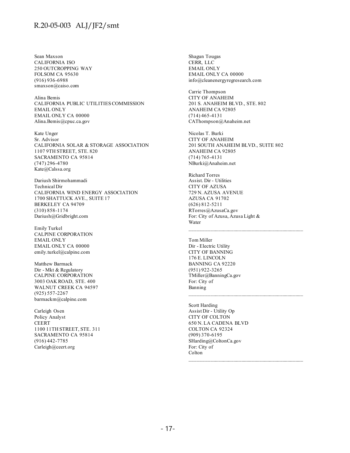Sean Maxson CALIFORNIA ISO 250 OUTCROPPING WAY FOLSOM CA 95630 (916) 936-6988 smaxson@caiso.com

Alina Bemis CALIFORNIA PUBLIC UTILITIES COMMISSION EMAIL ONLY EMAIL ONLY CA 00000 Alina.Bemis@cpuc.ca.gov

Kate Unger Sr. Advisor CALIFORNIA SOLAR & STORAGE ASSOCIATION 1107 9TH STREET, STE. 820 SACRAMENTO CA 95814 (747) 296-4780 Kate@Calssa.org

Dariush Shirmohammadi Technical Dir CALIFORNIA WIND ENERGY ASSOCIATION 1700 SHATTUCK AVE., SUITE 17 BERKELEY CA 94709 (310) 858-1174 Dariush@Gridbright.com

Emily Turkel CALPINE CORPORATION EMAIL ONLY EMAIL ONLY CA 00000 emily.turkel@calpine.com

Matthew Barmack Dir - Mkt & Regulatory CALPINE CORPORATION 3003 OAK ROAD, STE. 400 WALNUT CREEK CA 94597 (925) 557-2267 barmackm@calpine.com

Carleigh Osen Policy Analyst CEERT 1100 11TH STREET, STE. 311 SACRAMENTO CA 95814 (916) 442-7785 Carleigh@ceert.org

Shagun Tougas CERR, LLC EMAIL ONLY EMAIL ONLY CA 00000 info@cleanenergyregresearch.com

Carrie Thompson CITY OF ANAHEIM 201 S. ANAHEIM BLVD., STE. 802 ANAHEIM CA 92805 (714) 465-4131 CAThompson@Anaheim.net

Nicolas T. Burki CITY OF ANAHEIM 201 SOUTH ANAHEIM BLVD., SUITE 802 ANAHEIM CA 92805 (714) 765-4131 NBurki@Anaheim.net

Richard Torres Assist. Dir - Utilities CITY OF AZUSA 729 N. AZUSA AVENUE AZUSA CA 91702 (626) 812-5211 RTorres@AzusaCa.gov For: City of Azusa, Azusa Light & Water

Tom Miller Dir - Electric Utility CITY OF BANNING 176 E. LINCOLN BANNING CA 92220 (951) 922-3265 TMiller@BanningCa.gov For: City of Banning

Scott Harding Assist Dir - Utility Op CITY OF COLTON 650 N. LA CADENA BLVD COLTON CA 92324 (909) 370-6195 SHarding@ColtonCa.gov For: City of Colton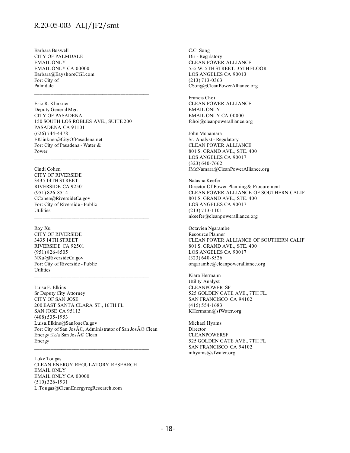Barbara Boswell CITY OF PALMDALE EMAIL ONLY EMAIL ONLY CA 00000 Barbara@BayshoreCGI.com For: City of Palmdale

Eric R. Klinkner Deputy General Mgr. CITY OF PASADENA 150 SOUTH LOS ROBLES AVE., SUITE 200 PASADENA CA 91101 (626) 744-4478 EKlinkner@CityOfPasadena.net For: City of Pasadena - Water & Power  $\mathcal{L}_\text{max}$  and the contract of the contract of the contract of the contract of the contract of the contract of the contract of the contract of the contract of the contract of the contract of the contract of the contrac

Cindi Cohen CITY OF RIVERSIDE 3435 14TH STREET RIVERSIDE CA 92501 (951) 826-8514 CCohen@RiversideCa.gov For: City of Riverside - Public **Utilities** 

Roy Xu CITY OF RIVERSIDE 3435 14TH STREET RIVERSIDE CA 92501 (951) 826-8505 NXu@RiversideCa.gov For: City of Riverside - Public **Utilities** 

Luisa F. Elkins Sr Deputy City Attorney CITY OF SAN JOSE 200 EAST SANTA CLARA ST., 16TH FL SAN JOSE CA 95113 (408) 535-1953 Luisa.Elkins@SanJoseCa.gov For: City of San José, Administrator of San José Clean Energy  $f/k/a$  San Jos $\tilde{A}$ © Clean Energy

\_\_\_\_\_\_\_\_\_\_\_\_\_\_\_\_\_\_\_\_\_\_\_\_\_\_\_\_\_\_\_\_\_\_\_\_\_\_\_\_\_\_\_\_

Luke Tougas CLEAN ENERGY REGULATORY RESEARCH EMAIL ONLY EMAIL ONLY CA 00000 (510) 326-1931 L.Tougas@CleanEnergyregResearch.com

C.C. Song Dir - Regulatory CLEAN POWER ALLIANCE 555 W. 5TH STREET, 35TH FLOOR LOS ANGELES CA 90013 (213) 713-0363 CSong@CleanPowerAlliance.org

Francis Choi CLEAN POWER ALLIANCE EMAIL ONLY EMAIL ONLY CA 00000 fchoi@cleanpoweralliance.org

John Mcnamara Sr. Analyst - Regulatory CLEAN POWER ALLIANCE 801 S. GRAND AVE., STE. 400 LOS ANGELES CA 90017 (323) 640-7662 JMcNamara@CleanPowerAlliance.org

Natasha Keefer Director Of Power Planning & Procurement CLEAN POWER ALLIANCE OF SOUTHERN CALIF 801 S. GRAND AVE., STE. 400 LOS ANGELES CA 90017 (213) 713-1101 nkeefer@cleanpoweralliance.org

Octavien Ngarambe Resource Planner CLEAN POWER ALLIANCE OF SOUTHERN CALIF 801 S. GRAND AVE., STE. 400 LOS ANGELES CA 90017 (323) 640-8526 ongarambe@cleanpoweralliance.org

Kiara Hermann Utility Analyst CLEANPOWER SF 525 GOLDEN GATE AVE., 7TH FL. SAN FRANCISCO CA 94102 (415) 554-1683 KHermann@sfWater.org

Michael Hyams Director CLEANPOWERSF 525 GOLDEN GATE AVE., 7TH FL SAN FRANCISCO CA 94102 mhyams@sfwater.org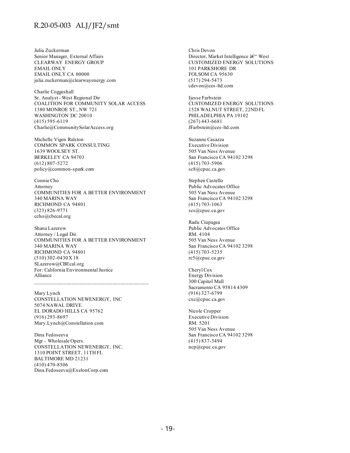Julia Zuckerman Senior Manager, External Affairs CLEARWAY ENERGY GROUP EMAIL ONLY EMAIL ONLY CA 00000 julia.zuckerman@clearwayenergy.com

Charlie Coggeshall Sr. Analyst - West Regional Dir COALITION FOR COMMUNITY SOLAR ACCESS 1380 MONROE ST., NW 721 WASHINGTON DC 20010 (415) 595-6119 Charlie@CommunitySolarAccess.org

Michelle Vigen Ralston COMMON SPARK CONSULTING 1639 WOOLSEY ST. BERKELEY CA 94703 (612) 807-5272 policy@common-spark.com

Connie Cho Attorney COMMUNITIES FOR A BETTER ENVIRONMENT 340 MARINA WAY RICHMOND CA 94801 (323) 826-9771 ccho@cbecal.org

Shana Lazerow Attorney / Legal Dir. COMMUNITIES FOR A BETTER ENVIRONMENT 340 MARINA WAY RICHMOND CA 94801 (510) 302-0430 X 18 SLazerow@CBEcal.org For: California Environmental Justice Alliance

Mary Lynch CONSTELLATION NEWENERGY, INC 5074 NAWAL DRIVE EL DORADO HILLS CA 95762 (916) 293-8697 Mary.Lynch@Constellation.com

Dina Fedoseeva Mgr - Wholesale Opers. CONSTELLATION NEWENERGY, INC. 1310 POINT STREET, 11TH FL BALTIMORE MD 21231 (410) 470-8506 Dina.Fedoseeva@ExelonCorp.com

Chris Devon Director, Market Intelligence – West CUSTOMIZED ENERGY SOLUTIONS 101 PARKSHORE DR FOLSOM CA 95630 (517) 294-5473 cdevon@ces-ltd.com

Ijesse Farbstein CUSTOMIZED ENERGY SOLUTIONS 1528 WALNUT STREET, 22ND FL PHILADELPHIA PA 19102 (267) 443-6681 JFarbstein@ces-ltd.com

Suzanne Casazza Executive Division 505 Van Ness Avenue San Francisco CA 94102 3298 (415) 703-5906 sc8@cpuc.ca.gov

Stephen Castello Public Advocates Office 505 Van Ness Avenue San Francisco CA 94102 3298 (415) 703-1063 scs@cpuc.ca.gov

Radu Ciupagea Public Advocates Office RM. 4104 505 Van Ness Avenue San Francisco CA 94102 3298 (415) 703-5235 rc5@cpuc.ca.gov

Cheryl Cox Energy Division 300 Capitol Mall Sacramento CA 95814 4309 (916) 327-6799 cxc@cpuc.ca.gov

Nicole Cropper Executive Division RM. 5201 505 Van Ness Avenue San Francisco CA 94102 3298 (415) 837-3494 ncp@cpuc.ca.gov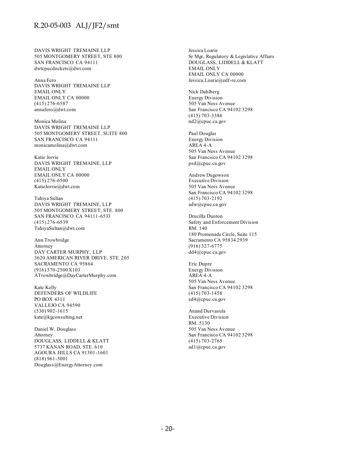DAVIS WRIGHT TREMAINE LLP 505 MONTGOMERY STREET, STE 800 SAN FRANCISCO CA 94111 dwtcpucdockets@dwt.com

Anna Fero DAVIS WRIGHT TREMAINE LLP EMAIL ONLY EMAIL ONLY CA 00000 (415) 276-6587 annafero@dwt.com

Monica Molina DAVIS WRIGHT TREMAINE LLP 505 MONTGOMERY STREET, SUITE 800 SAN FRANCISCO CA 94111 monicamolina@dwt.com

Katie Jorrie DAVIS WRIGHT TREMAINE, LLP EMAIL ONLY EMAIL ONLY CA 00000 (415) 276-6500 KatieJorrie@dwt.com

Tahiya Sultan DAVIS WRIGHT TREMAINE, LLP 505 MONTGOMERY STREET, STE. 800 SAN FRANCISCO CA 94111-6533 (415) 276-6539 TahiyaSultan@dwt.com

Ann Trowbridge Attorney DAY CARTER MURPHY, LLP 3620 AMERICAN RIVER DRIVE, STE. 205 SACRAMENTO CA 95864 (916) 570-2500 X103 ATrowbridge@DayCarterMurphy.com

Kate Kelly DEFENDERS OF WILDLIFE PO BOX 4311 VALLEJO CA 94590 (530) 902-1615 kate@kgconsulting.net

Daniel W. Douglass Attorney DOUGLASS, LIDDELL & KLATT 5737 KANAN ROAD, STE. 610 AGOURA HILLS CA 91301-1601 (818) 961-3001 Douglass@EnergyAttorney.com

Jessica Loarie Sr Mgr, Regulatory & Legislative Affairs DOUGLASS, LIDDELL & KLATT EMAIL ONLY EMAIL ONLY CA 00000 Jessica.Loarie@edf-re.com

Nick Dahlberg Energy Division 505 Van Ness Avenue San Francisco CA 94102 3298 (415) 703-3386 nd2@cpuc.ca.gov

Paul Douglas Energy Division AREA 4-A 505 Van Ness Avenue San Francisco CA 94102 3298 psd@cpuc.ca.gov

Andrew Dugowson Executive Division 505 Van Ness Avenue San Francisco CA 94102 3298 (415) 703-2192 adw@cpuc.ca.gov

Drucilla Dunton Safety and Enforcement Division RM. 140 180 Promenade Circle, Suite 115 Sacramento CA 95834 2939 (916) 327-6775 dd4@cpuc.ca.gov

Eric Dupre Energy Division AREA 4-A 505 Van Ness Avenue San Francisco CA 94102 3298 (415) 703-1458 ed4@cpuc.ca.gov

Anand Durvasula Executive Division RM. 5130 505 Van Ness Avenue San Francisco CA 94102 3298 (415) 703-2765 ad1@cpuc.ca.gov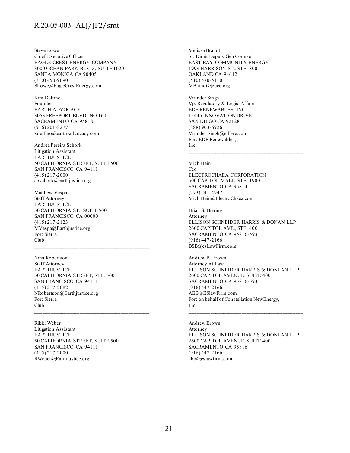Steve Lowe Chief Executive Officer EAGLE CREST ENERGY COMPANY 3000 OCEAN PARK BLVD., SUITE 1020 SANTA MONICA CA 90405 (310) 450-9090 SLowe@EagleCrestEnergy.com

Kim Delfino Founder EARTH ADVOCACY 3053 FREEPORT BLVD. NO.160 SACRAMENTO CA 95818 (916) 201-8277 kdelfino@earth-advocacy.com

Andrea Pereira Schork Litigation Assistant **EARTHJUSTICE** 50 CALIFORNIA STREET, SUITE 500 SAN FRANCISCO CA 94111 (415) 217-2000 apschork@earthjustice.org

Matthew Vespa Staff Attorney **EARTHJUSTICE** 50 CALIFORNIA ST., SUITE 500 SAN FRANCISCO CA 00000 (415) 217-2123 MVespa@Earthjustice.org For: Sierra Club

Nina Robertson Staff Attorney **EARTHJUSTICE** 50 CALIFORNIA STREET, STE. 500 SAN FRANCISCO CA 94111 (415) 217-2082 NRobertson@Earthjustice.org For: Sierra Club

Rikki Weber Litigation Assistant EARTHJUSTICE 50 CALIFORNIA STREET, SUITE 500 SAN FRANCISCO CA 94111 (415) 217-2000 RWeber@Earthjustice.org

 $\mathcal{L}_\text{max}$  and the contract of the contract of the contract of the contract of the contract of the contract of the contract of the contract of the contract of the contract of the contract of the contract of the contrac

Melissa Brandt Sr. Dir & Deputy Gen Counsel EAST BAY COMMUNITY ENERGY 1999 HARRISON ST., STE. 800 OAKLAND CA 94612 (510) 570-5110 MBrandt@ebce.org

Virinder Singh Vp, Regulatory & Legis. Affairs EDF RENEWABLES, INC. 15445 INNOVATION DRIVE SAN DIEGO CA 92128 (888) 903-6926 Virinder.Singh@edf-re.com For: EDF Renewables, Inc.

Mich Hein Ceo ELECTROCHAEA CORPORATION 500 CAPITOL MALL, STE. 1900 SACRAMENTO CA 95814 (773) 241-4947 Mich.Hein@ElectroChaea.com

Brian S. Biering Attorney ELLISON SCHNEIDER HARRIS & DONAN LLP 2600 CAPITOL AVE., STE. 400 SACRAMENTO CA 95816-5931 (916) 447-2166 BSB@esLawFirm.com

Andrew B. Brown Attorney At Law ELLISON SCHNEIDER HARRIS & DONLAN LLP 2600 CAPITOL AVENUE, SUITE 400 SACRAMENTO CA 95816-5931 (916) 447-2166 ABB@ESlawFirm.com For: on behalf of Constellation NewEnergy, Inc.

Andrew Brown Attorney ELLISON SCHNEIDER HARRIS & DONLAN LLP 2600 CAPITOL AVENUE, SUITE 400 SACRAMENTO CA 95816 (916) 447-2166 abb@eslawfirm.com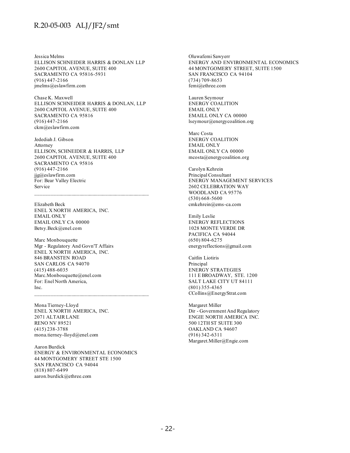Jessica Melms ELLISON SCHNEIDER HARRIS & DONLAN LLP 2600 CAPITOL AVENUE, SUITE 400 SACRAMENTO CA 95816-5931 (916) 447-2166 jmelms@eslawfirm.com

Chase K. Maxwell ELLISON SCHNEIDER HARRIS & DONLAN, LLP 2600 CAPITOL AVENUE, SUITE 400 SACRAMENTO CA 95816 (916) 447-2166 ckm@eslawfirm.com

Jedediah J. Gibson Attorney ELLISON, SCHNEIDER & HARRIS, LLP 2600 CAPITOL AVENUE, SUITE 400 SACRAMENTO CA 95816 (916) 447-2166 jjg@eslawfirm.com For: Bear Valley Electric Service

Elizabeth Beck ENEL X NORTH AMERICA, INC. EMAIL ONLY EMAIL ONLY CA 00000 Betsy.Beck@enel.com

Marc Monbouquette Mgr - Regulatory And Govn'T Affairs ENEL X NORTH AMERICA, INC. 846 BRANSTEN ROAD SAN CARLOS CA 94070 (415) 488-6035 Marc.Monbouquette@enel.com For: Enel North America, Inc.

Mona Tierney-Lloyd ENEL X NORTH AMERICA, INC. 2071 ALTAIR LANE RENO NV 89521 (415) 238-3788 mona.tierney-lloyd@enel.com

Aaron Burdick ENERGY & ENVIRONMENTAL ECONOMICS 44 MONTGOMERY STREET STE 1500 SAN FRANCISCO CA 94044 (818) 807-6499 aaron.burdick@ethree.com

Oluwafemi Sawyerr ENERGY AND ENVIRONMENTAL ECONOMICS 44 MONTGOMERY STREET, SUITE 1500 SAN FRANCISCO CA 94104 (734) 709-8653 femi@ethree.com

Lauren Seymour ENERGY COALITION EMAIL ONLY EMAILL ONLY CA 00000 lseymour@energycoalition.org

Marc Costa ENERGY COALITION EMAIL ONLY EMAIL ONLY CA 00000 mcosta@energycoalition.org

Carolyn Kehrein Principal Consultant ENERGY MANAGEMENT SERVICES 2602 CELEBRATION WAY WOODLAND CA 95776 (530) 668-5600 cmkehrein@ems-ca.com

Emily Leslie ENERGY REFLECTIONS 1028 MONTE VERDE DR PACIFICA CA 94044 (650) 804-6275 energyreflections@gmail.com

Caitlin Liotiris Principal ENERGY STRATEGIES 111 E BROADWAY, STE. 1200 SALT LAKE CITY UT 84111 (801) 355-4365 CCollins@EnergyStrat.com

Margaret Miller Dir - Government And Regulatory ENGIE NORTH AMERICA INC. 500 12TH ST SUITE 300 OAKLAND CA 94607 (916) 342-6311 Margaret.Miller@Engie.com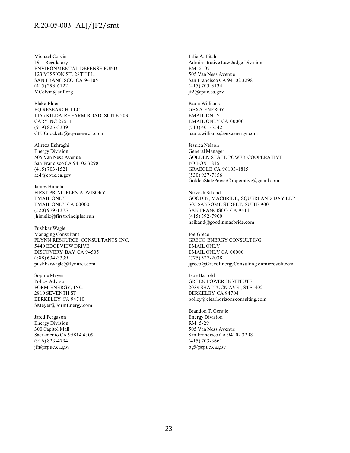Michael Colvin Dir - Regulatory ENVIRONMENTAL DEFENSE FUND 123 MISSION ST, 28TH FL. SAN FRANCISCO CA 94105 (415) 293-6122 MColvin@edf.org

Blake Elder EQ RESEARCH LLC 1155 KILDAIRE FARM ROAD, SUITE 203 CARY NC 27511 (919) 825-3339 CPUCdockets@eq-research.com

Alireza Eshraghi Energy Division 505 Van Ness Avenue San Francisco CA 94102 3298 (415) 703-1521 ae4@cpuc.ca.gov

James Himelic FIRST PRINCIPLES ADVISORY EMAIL ONLY EMAIL ONLY CA 00000 (520) 979-1375 jhimelic@firstprinciples.run

Pushkar Wagle Managing Consultant FLYNN RESOURCE CONSULTANTS INC. 5440 EDGEVIEW DRIVE DISCOVERY BAY CA 94505 (888) 634-3339 pushkarwagle@flynnrci.com

Sophie Meyer Policy Advisor FORM ENERGY, INC. 2810 SEVENTH ST BERKELEY CA 94710 SMeyer@FormEnergy.com

Jared Ferguson Energy Division 300 Capitol Mall Sacramento CA 95814 4309 (916) 823-4794 jfn@cpuc.ca.gov

Julie A. Fitch Administrative Law Judge Division RM. 5107 505 Van Ness Avenue San Francisco CA 94102 3298 (415) 703-3134 jf2@cpuc.ca.gov

Paula Williams GEXA ENERGY EMAIL ONLY EMAIL ONLY CA 00000 (713) 401-5542 paula.williams@gexaenergy.com

Jessica Nelson General Manager GOLDEN STATE POWER COOPERATIVE PO BOX 1815 GRAEGLE CA 96103-1815 (530) 927-7856 GoldenStatePowerCooperative@gmail.com

Nirvesh Sikand GOODIN, MACBRIDE, SQUERI AND DAY,LLP 505 SANSOME STREET, SUITE 900 SAN FRANCISCO CA 94111 (415) 392-7900 nsikand@goodinmacbride.com

Joe Greco GRECO ENERGY CONSULTING EMAIL ONLY EMAIL ONLY CA 00000 (775) 527-2038 jgreco@GrecoEnergyConsulting.onmicrosoft.com

Izoe Harrold GREEN POWER INSTITUTE 2039 SHATTUCK AVE., STE. 402 BERKELEY CA 94704 policy@clearhorizonsconsulting.com

Brandon T. Gerstle Energy Division RM. 5-29 505 Van Ness Avenue San Francisco CA 94102 3298 (415) 703-3661 bg5@cpuc.ca.gov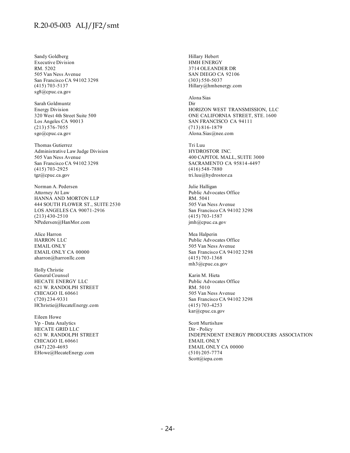Sandy Goldberg Executive Division RM. 5202 505 Van Ness Avenue San Francisco CA 94102 3298 (415) 703-5137 sg8@cpuc.ca.gov

Sarah Goldmuntz Energy Division 320 West 4th Street Suite 500 Los Angeles CA 90013 (213) 576-7055 sgo@cpuc.ca.gov

Thomas Gutierrez Administrative Law Judge Division 505 Van Ness Avenue San Francisco CA 94102 3298 (415) 703-2925 tgz@cpuc.ca.gov

Norman A. Pedersen Attorney At Law HANNA AND MORTON LLP 444 SOUTH FLOWER ST., SUITE 2530 LOS ANGELES CA 90071-2916 (213) 430-2510 NPedersen@HanMor.com

Alice Harron HARRON LLC EMAIL ONLY EMAIL ONLY CA 00000 aharron@harronllc.com

Holly Christie General Counsel HECATE ENERGY LLC 621 W. RANDOLPH STREET CHICAGO IL 60661 (720) 234-9331 HChristie@HecateEnergy.com

Eileen Howe Vp - Data Analytics HECATE GRID LLC 621 W. RANDOLPH STREET CHICAGO IL 60661 (847) 220-4693 EHowe@HecateEnergy.com

Hillary Hebert HMH ENERGY 3714 OLEANDER DR SAN DIEGO CA 92106 (303) 550-5037 Hillary@hmhenergy.com

Alona Sias Dir HORIZON WEST TRANSMISSION, LLC ONE CALIFORNIA STREET, STE. 1600 SAN FRANCISCO CA 94111 (713) 816-1879 Alona.Sias@nee.com

Tri Luu HYDROSTOR INC. 400 CAPITOL MALL, SUITE 3000 SACRAMENTO CA 95814-4497 (416) 548-7880 tri.luu@hydrostor.ca

Julie Halligan Public Advocates Office RM. 5041 505 Van Ness Avenue San Francisco CA 94102 3298 (415) 703-1587 jmh@cpuc.ca.gov

Mea Halperin Public Advocates Office 505 Van Ness Avenue San Francisco CA 94102 3298 (415) 703-1368 mh3@cpuc.ca.gov

Karin M. Hieta Public Advocates Office RM. 5010 505 Van Ness Avenue San Francisco CA 94102 3298 (415) 703-4253 kar@cpuc.ca.gov

Scott Murtishaw Dir - Policy INDEPENDENT ENERGY PRODUCERS ASSOCIATION EMAIL ONLY EMAIL ONLY CA 00000 (510) 205-7774 Scott@iepa.com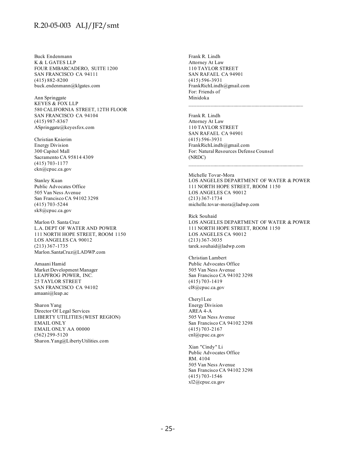Buck Endenmann K & L GATES LLP FOUR EMBARCADERO, SUITE 1200 SAN FRANCISCO CA 94111 (415) 882-8200 buck.endenmann@klgates.com

Ann Springgate KEYES & FOX LLP 580 CALIFORNIA STREET, 12TH FLOOR SAN FRANCISCO CA 94104 (415) 987-8367 ASpringgate@keyesfox.com

Christian Knierim Energy Division 300 Capitol Mall Sacramento CA 95814 4309 (415) 703-1177 ckn@cpuc.ca.gov

Stanley Kuan Public Advocates Office 505 Van Ness Avenue San Francisco CA 94102 3298 (415) 703-5244 sk8@cpuc.ca.gov

Marlon O. Santa Cruz L.A. DEPT OF WATER AND POWER 111 NORTH HOPE STREET, ROOM 1150 LOS ANGELES CA 90012 (213) 367-1735 Marlon.SantaCruz@LADWP.com

Amaani Hamid Market Development Manager LEAPFROG POWER, INC. 25 TAYLOR STREET SAN FRANCISCO CA 94102 amaani@leap.ac

Sharon Yang Director Of Legal Services LIBERTY UTILITIES (WEST REGION) EMAIL ONLY EMAIL ONLY AA 00000 (562) 299-5120 Sharon.Yang@LibertyUtilities.com

Frank R. Lindh Attorney At Law 110 TAYLOR STREET SAN RAFAEL CA 94901 (415) 596-3931 FrankRichLindh@gmail.com For: Friends of Minidoka

Frank R. Lindh Attorney At Law 110 TAYLOR STREET SAN RAFAEL CA 94901 (415) 596-3931 FrankRichLindh@gmail.com For: Natural Resources Defense Counsel (NRDC)

Michelle Tovar-Mora LOS ANGELES DEPARTMENT OF WATER & POWER 111 NORTH HOPE STREET, ROOM 1150 LOS ANGELES CA 90012 (213) 367-1734 michelle.tovar-mora@ladwp.com

 $\mathcal{L}_\text{max}$  and the contract of the contract of the contract of the contract of the contract of the contract of the contract of the contract of the contract of the contract of the contract of the contract of the contrac

Rick Souhaid LOS ANGELES DEPARTMENT OF WATER & POWER 111 NORTH HOPE STREET, ROOM 1150 LOS ANGELES CA 90012 (213) 367-3035 tarek.souhaid@ladwp.com

Christian Lambert Public Advocates Office 505 Van Ness Avenue San Francisco CA 94102 3298 (415) 703-1419 cl8@cpuc.ca.gov

Cheryl Lee Energy Division AREA 4-A 505 Van Ness Avenue San Francisco CA 94102 3298 (415) 703-2167 cnl@cpuc.ca.gov

Xian "Cindy" Li Public Advocates Office RM. 4104 505 Van Ness Avenue San Francisco CA 94102 3298 (415) 703-1546 xl2@cpuc.ca.gov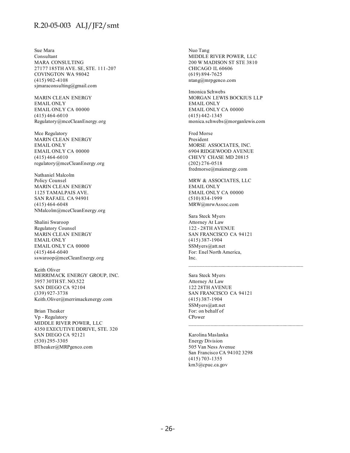Sue Mara Consultant MARA CONSULTING 27177 185TH AVE. SE, STE. 111-207 COVINGTON WA 98042 (415) 902-4108 sjmaraconsulting@gmail.com

MARIN CLEAN ENERGY EMAIL ONLY EMAIL ONLY CA 00000 (415) 464-6010 Regulatory@mceCleanEnergy.org

Mce Regulatory MARIN CLEAN ENERGY EMAIL ONLY EMAIL ONLY CA 00000 (415) 464-6010 regulatory@mceCleanEnergy.org

Nathaniel Malcolm Policy Counsel MARIN CLEAN ENERGY 1125 TAMALPAIS AVE. SAN RAFAEL CA 94901 (415) 464-6048 NMalcolm@mceCleanEnergy.org

Shalini Swaroop Regulatory Counsel MARIN CLEAN ENERGY EMAIL ONLY EMAIL ONLY CA 00000 (415) 464-6040 sswaroop@mceCleanEnergy.org

Keith Oliver MERRIMACK ENERGY GROUP, INC. 3957 30TH ST. NO.522 SAN DIEGO CA 92104 (339) 927-3738 Keith.Oliver@merrimackenergy.com

Brian Theaker Vp - Regulatory MIDDLE RIVER POWER, LLC 4350 EXECUTIVE DDRIVE, STE. 320 SAN DIEGO CA 92121 (530) 295-3305 BTheaker@MRPgenco.com

Nuo Tang MIDDLE RIVER POWER, LLC 200 W MADISON ST STE 3810 CHICAGO IL 60606 (619) 894-7625 ntang@mrpgenco.com

Imonica Schwebs MORGAN LEWIS BOCKIUS LLP EMAIL ONLY EMAIL ONLY CA 00000 (415) 442-1345 monica.schwebs@morganlewis.com

Fred Morse President MORSE ASSOCIATES, INC. 6904 RIDGEWOOD AVENUE CHEVY CHASE MD 20815 (202) 276-0518 fredmorse@maienergy.com

MRW & ASSOCIATES, LLC EMAIL ONLY EMAIL ONLY CA 00000 (510) 834-1999 MRW@mrwAssoc.com

Sara Steck Myers Attorney At Law 122 - 28TH AVENUE SAN FRANCISCO CA 94121 (415) 387-1904 SSMyers@att.net For: Enel North America, Inc.

 $\mathcal{L}_\text{max}$  and the contract of the contract of the contract of the contract of the contract of the contract of the contract of the contract of the contract of the contract of the contract of the contract of the contrac

Sara Steck Myers Attorney At Law 122 28TH AVENUE SAN FRANCISCO CA 94121 (415) 387-1904 SSMyers@att.net For: on behalf of CPower

Karolina Maslanka Energy Division 505 Van Ness Avenue San Francisco CA 94102 3298 (415) 703-1355 km3@cpuc.ca.gov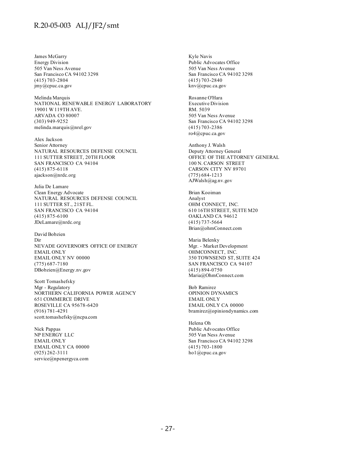James McGarry Energy Division 505 Van Ness Avenue San Francisco CA 94102 3298 (415) 703-2804 jmy@cpuc.ca.gov

Melinda Marquis NATIONAL RENEWABLE ENERGY LABORATORY 19001 W 119TH AVE. ARVADA CO 80007 (303) 949-9252 melinda.marquis@nrel.gov

Alex Jackson Senior Attorney NATURAL RESOURCES DEFENSE COUNCIL 111 SUTTER STREET, 20TH FLOOR SAN FRANCISCO CA 94104 (415) 875-6118 ajackson@nrdc.org

Julia De Lamare Clean Energy Advocate NATURAL RESOURCES DEFENSE COUNCIL 111 SUTTER ST., 21ST FL. SAN FRANCISCO CA 94104 (415) 875-6100 JDeLamare@nrdc.org

David Bobzien Dir NEVADE GOVERNOR'S OFFICE OF ENERGY EMAIL ONLY EMAIL ONLY NV 00000 (775) 687-7180 DBobzien@Energy.nv.gov

Scott Tomashefsky Mgr - Regulatory NORTHERN CALIFORNIA POWER AGENCY 651 COMMERCE DRIVE ROSEVILLE CA 95678-6420 (916) 781-4291 scott.tomashefsky@ncpa.com

Nick Pappas NP ENERGY LLC EMAIL ONLY EMAIL ONLY CA 00000 (925) 262-3111 service@npenergyca.com

Kyle Navis Public Advocates Office 505 Van Ness Avenue San Francisco CA 94102 3298 (415) 703-2840 knv@cpuc.ca.gov

Rosanne O'Hara Executive Division RM. 5039 505 Van Ness Avenue San Francisco CA 94102 3298 (415) 703-2386 ro4@cpuc.ca.gov

Anthony J. Walsh Deputy Attorney General OFFICE OF THE ATTORNEY GENERAL 100 N. CARSON STREET CARSON CITY NV 89701 (775) 684-1213 AJWalsh@ag.nv.gov

Brian Kooiman Analyst OHM CONNECT, INC. 610 16TH STREET, SUITE M20 OAKLAND CA 94612 (415) 737-5664 Brian@ohmConnect.com

Maria Belenky Mgr. - Market Development OHMCONNECT, INC. 350 TOWNSEND ST, SUITE 424 SAN FRANCISCO CA 94107 (415) 894-0750 Maria@OhmConnect.com

Bob Ramirez OPINION DYNAMICS EMAIL ONLY EMAIL ONLY CA 00000 bramirez@opiniondynamics.com

Helena Oh Public Advocates Office 505 Van Ness Avenue San Francisco CA 94102 3298 (415) 703-1800 ho1@cpuc.ca.gov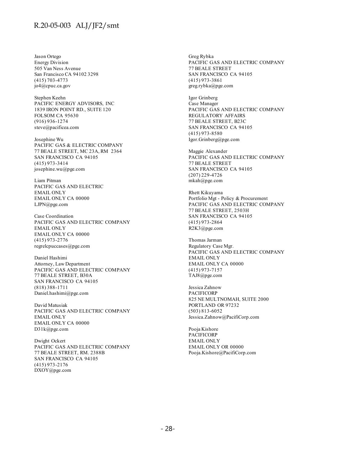Jason Ortego Energy Division 505 Van Ness Avenue San Francisco CA 94102 3298 (415) 703-4773 jo4@cpuc.ca.gov

Stephen Keehn PACIFIC ENERGY ADVISORS, INC 1839 IRON POINT RD., SUITE 120 FOLSOM CA 95630 (916) 936-1274 steve@pacificea.com

Josephine Wu PACIFIC GAS & ELECTRIC COMPANY 77 BEALE STREET, MC 23A, RM 2364 SAN FRANCISCO CA 94105 (415) 973-3414 josephine.wu@pge.com

Liam Pitman PACIFIC GAS AND ELECTRIC EMAIL ONLY EMAIL ONLY CA 00000 LJPN@pge.com

Case Coordination PACIFIC GAS AND ELECTRIC COMPANY EMAIL ONLY EMAIL ONLY CA 00000 (415) 973-2776 regrelcpuccases@pge.com

Daniel Hashimi Attorney, Law Department PACIFIC GAS AND ELECTRIC COMPANY 77 BEALE STREET, B30A SAN FRANCISCO CA 94105 (818) 388-1711 Daniel.hashimi@pge.com

David Matusiak PACIFIC GAS AND ELECTRIC COMPANY EMAIL ONLY EMAIL ONLY CA 00000 D31k@pge.com

Dwight Ockert PACIFIC GAS AND ELECTRIC COMPANY 77 BEALE STREET, RM. 2388B SAN FRANCISCO CA 94105 (415) 973-2176 DXOY@pge.com

Greg Rybka PACIFIC GAS AND ELECTRIC COMPANY 77 BEALE STREET SAN FRANCISCO CA 94105 (415) 973-3861 greg.rybka@pge.com

Igor Grinberg Case Manager PACIFIC GAS AND ELECTRIC COMPANY REGULATORY AFFAIRS 77 BEALE STREET, B23C SAN FRANCISCO CA 94105 (415) 973-8580 Igor.Grinberg@pge.com

Maggie Alexander PACIFIC GAS AND ELECTRIC COMPANY 77 BEALE STREET SAN FRANCISCO CA 94105 (207) 229-4726 mkah@pge.com

Rhett Kikuyama Portfolio Mgt - Policy & Procurement PACIFIC GAS AND ELECTRIC COMPANY 77 BEALE STREET, 2503H SAN FRANCISCO CA 94105 (415) 973-2864 R2K3@pge.com

Thomas Jarman Regulatory Case Mgr. PACIFIC GAS AND ELECTRIC COMPANY EMAIL ONLY EMAIL ONLY CA 00000 (415) 973-7157 TAJ8@pge.com

Jessica Zahnow PACIFICORP 825 NE MULTNOMAH, SUITE 2000 PORTLAND OR 97232 (503) 813-6052 Jessica.Zahnow@PacifiCorp.com

Pooja Kishore PACIFICORP EMAIL ONLY EMAIL ONLY OR 00000 Pooja.Kishore@PacifiCorp.com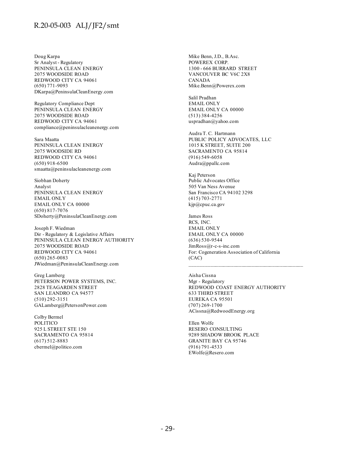Doug Karpa Sr Analyst - Regulatory PENINSULA CLEAN ENERGY 2075 WOODSIDE ROAD REDWOOD CITY CA 94061 (650) 771-9093 DKarpa@PeninsulaCleanEnergy.com

Regulatory Compliance Dept PENINSULA CLEAN ENERGY 2075 WOODSIDE ROAD REDWOOD CITY CA 94061 compliance@peninsulacleanenergy.com

Sara Maatta PENINSULA CLEAN ENERGY 2075 WOODSIDE RD REDWOOD CITY CA 94061 (650) 918-6500 smaatta@peninsulacleanenergy.com

Siobhan Doherty Analyst PENINSULA CLEAN ENERGY EMAIL ONLY EMAIL ONLY CA 00000 (650) 817-7076 SDoherty@PeninsulaCleanEnergy.com

Joseph F. Wiedman Dir - Regulatory & Legislative Affairs PENINSULA CLEAN ENERGY AUTHORITY 2075 WOODSIDE ROAD REDWOOD CITY CA 94061 (650) 265-0083 JWiedman@PeninsulaCleanEnergy.com

Greg Lamberg PETERSON POWER SYSTEMS, INC. 2828 TEAGARDEN STREET SAN LEANDRO CA 94577 (510) 292-3151 GALamberg@PetersonPower.com

Colby Bermel POLITICO 925 L STREET STE 150 SACRAMENTO CA 95814 (617) 512-8883 cbermel@politico.com

Mike Benn, J.D., B.Asc. POWEREX CORP. 1300 - 666 BURRARD STREET VANCOUVER BC V6C 2X8 CANADA Mike.Benn@Powerex.com

Salil Pradhan EMAIL ONLY EMAIL ONLY CA 00000 (513) 384-4256 uspradhan@yahoo.com

Audra T. C. Hartmann PUBLIC POLICY ADVOCATES, LLC 1015 K STREET, SUITE 200 SACRAMENTO CA 95814 (916) 549-6058 Audra@ppallc.com

Kaj Peterson Public Advocates Office 505 Van Ness Avenue San Francisco CA 94102 3298 (415) 703-2771 kjp@cpuc.ca.gov

James Ross RCS, INC. EMAIL ONLY EMAIL ONLY CA 00000 (636) 530-9544 JimRoss@r-c-s-inc.com For: Cogeneration Association of California (CAC)

Aisha Cissna Mgr - Regulatory REDWOOD COAST ENERGY AUTHORITY 633 THIRD STREET EUREKA CA 95501 (707) 269-1700 ACissna@RedwoodEnergy.org

 $\mathcal{L}_\text{max}$  and the contract of the contract of the contract of the contract of the contract of the contract of the contract of the contract of the contract of the contract of the contract of the contract of the contrac

Ellen Wolfe RESERO CONSULTING 9289 SHADOW BROOK PLACE GRANITE BAY CA 95746 (916) 791-4533 EWolfe@Resero.com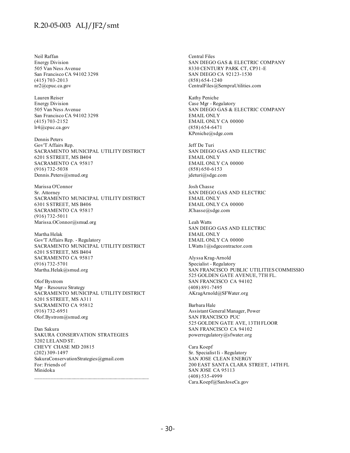Neil Raffan Energy Division 505 Van Ness Avenue San Francisco CA 94102 3298 (415) 703-2013 nr2@cpuc.ca.gov

Lauren Reiser Energy Division 505 Van Ness Avenue San Francisco CA 94102 3298 (415) 703-2152 lr4@cpuc.ca.gov

Dennis Peters Gov'T Affairs Rep. SACRAMENTO MUNICIPAL UTILITY DISTRICT 6201 S STREET, MS B404 SACRAMENTO CA 95817 (916) 732-5038 Dennis.Peters@smud.org

Marissa O'Connor Sr. Attorney SACRAMENTO MUNICIPAL UTILITY DISTRICT 6301 S STREET, MS B406 SACRAMENTO CA 95817 (916) 732-5011 Marissa.OConnor@smud.org

Martha Helak Gov'T Affairs Rep. - Regulatory SACRAMENTO MUNICIPAL UTILITY DISTRICT 6201 S STREET, MS B404 SACRAMENTO CA 95817 (916) 732-5701 Martha.Helak@smud.org

Olof Bystrom Mgr - Resource Strategy SACRAMENTO MUNICIPAL UTILITY DISTRICT 6201 S STREET, MS A311 SACRAMENTO CA 95812 (916) 732-6951 Olof.Bystrom@smud.org

Dan Sakura SAKURA CONSERVATION STRATEGIES 3202 LELAND ST. CHEVY CHASE MD 20815 (202) 309-1497 SakuraConservationStrategies@gmail.com For: Friends of Minidoka

Central Files SAN DIEGO GAS & ELECTRIC COMPANY 8330 CENTURY PARK CT, CP31-E SAN DIEGO CA 92123-1530 (858) 654-1240 CentralFiles@SempraUtilities.com

Kathy Peniche Case Mgr - Regulatory SAN DIEGO GAS & ELECTRIC COMPANY EMAIL ONLY EMAIL ONLY CA 00000 (858) 654-6471 KPeniche@sdge.com

Jeff De Turi SAN DIEGO GAS AND ELECTRIC EMAIL ONLY EMAIL ONLY CA 00000 (858) 650-6153 jdeturi@sdge.com

Josh Chasse SAN DIEGO GAS AND ELECTRIC EMAIL ONLY EMAIL ONLY CA 00000 JChasse@sdge.com

Leah Watts SAN DIEGO GAS AND ELECTRIC EMAIL ONLY EMAIL ONLY CA 00000 LWatts1@sdgecontractor.com

Alyssa Krag-Arnold Specialist - Regulatory SAN FRANCISCO PUBLIC UTILITIES COMMISSIO 525 GOLDEN GATE AVENUE, 7TH FL. SAN FRANCISCO CA 94102 (408) 891-7495 AKragArnold@SFWater.org

Barbara Hale Assistant General Manager, Power SAN FRANCISCO PUC 525 GOLDEN GATE AVE, 13TH FLOOR SAN FRANCISCO CA 94102 powerregulatory@sfwater.org

Cara Koepf Sr. Specialist Ii - Regulatory SAN JOSE CLEAN ENERGY 200 EAST SANTA CLARA STREET, 14TH FL SAN JOSE CA 95113 (408) 535-4999 Cara.Koepf@SanJoseCa.gov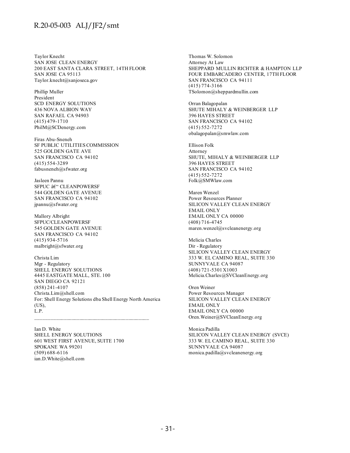Taylor Knecht SAN JOSE CLEAN ENERGY 200 EAST SANTA CLARA STREET, 14TH FLOOR SAN JOSE CA 95113 Taylor.knecht@sanjoseca.gov

Phillip Muller President SCD ENERGY SOLUTIONS 436 NOVA ALBION WAY SAN RAFAEL CA 94903 (415) 479-1710 PhilM@SCDenergy.com

Firas Abu-Sneneh SF PUBLIC UTILITIES COMMISSION 525 GOLDEN GATE AVE SAN FRANCISCO CA 94102 (415) 554-3289 fabusneneh@sfwater.org

Jasleen Pannu SFPUC  $\hat{a}\in$ " CLEANPOWERSF 544 GOLDEN GATE AVENUE SAN FRANCISCO CA 94102 jpannu@sfwater.org

Mallory Albright SFPUC/CLEANPOWERSF 545 GOLDEN GATE AVENUE SAN FRANCISCO CA 94102 (415) 934-5716 malbright@sfwater.org

Christa Lim Mgr - Regulatory SHELL ENERGY SOLUTIONS 4445 EASTGATE MALL, STE. 100 SAN DIEGO CA 92121 (858) 241-4107 Christa.Lim@shell.com For: Shell Energy Solutions dba Shell Energy North America (US), L.P.

Ian D. White SHELL ENERGY SOLUTIONS 601 WEST FIRST AVENUE, SUITE 1700 SPOKANE WA 99201 (509) 688-6116 ian.D.White@shell.com

Thomas W. Solomon Attorney At Law SHEPPARD MULLIN RICHTER & HAMPTON LLP FOUR EMBARCADERO CENTER, 17TH FLOOR SAN FRANCISCO CA 94111 (415) 774-3166 TSolomon@sheppardmullin.com

Orran Balagopalan SHUTE MIHALY & WEINBERGER LLP 396 HAYES STREET SAN FRANCISCO CA 94102 (415) 552-7272 obalagopalan@smwlaw.com

Ellison Folk Attorney SHUTE, MIHALY & WEINBERGER LLP 396 HAYES STREET SAN FRANCISCO CA 94102 (415) 552-7272 Folk@SMWlaw.com

Maren Wenzel Power Resources Planner SILICON VALLEY CLEAN ENERGY EMAIL ONLY EMAIL ONLY CA 00000 (408) 716-4745 maren.wenzel@svcleanenergy.org

Melicia Charles Dir - Regulatory SILICON VALLEY CLEAN ENERGY 333 W. EL CAMINO REAL, SUITE 330 SUNNYVALE CA 94087 (408) 721-5301 X1003 Melicia.Charles@SVCleanEnergy.org

Oren Weiner Power Resources Manager SILICON VALLEY CLEAN ENERGY EMAIL ONLY EMAIL ONLY CA 00000 Oren.Weiner@SVCleanEnergy.org

Monica Padilla SILICON VALLEY CLEAN ENERGY (SVCE) 333 W. EL CAMINO REAL, SUITE 330 SUNNYVALE CA 94087 monica.padilla@svcleanenergy.org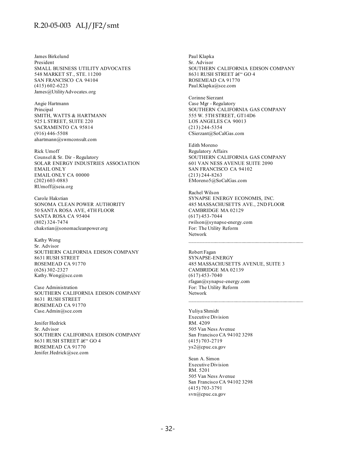James Birkelund President SMALL BUSINESS UTILITY ADVOCATES 548 MARKET ST., STE. 11200 SAN FRANCISCO CA 94104 (415) 602-6223 James@UtilityAdvocates.org

Angie Hartmann Principal SMITH, WATTS & HARTMANN 925 L STREET, SUITE 220 SACRAMENTO CA 95814 (916) 446-5508 ahartmann@swmconsult.com

Rick Umoff Counsel & Sr. Dir - Regulatory SOLAR ENERGY INDUSTRIES ASSOCIATION EMAIL ONLY EMAIL ONLY CA 00000 (202) 603-0883 RUmoff@seia.org

Carole Hakstian SONOMA CLEAN POWER AUTHORITY 50 SANTA ROSA AVE, 4TH FLOOR SANTA ROSA CA 95404 (802) 324-7474 chakstian@sonomacleanpower.org

Kathy Wong Sr. Advisor SOUTHERN CALFORNIA EDISON COMPANY 8631 RUSH STREET ROSEMEAD CA 91770 (626) 302-2327 Kathy.Wong@sce.com

Case Administration SOUTHERN CALIFORNIA EDISON COMPANY 8631 RUSH STREET ROSEMEAD CA 91770 Case.Admin@sce.com

Jenifer Hedrick Sr. Advisor SOUTHERN CALIFORNIA EDISON COMPANY 8631 RUSH STREET – GO 4 ROSEMEAD CA 91770 Jenifer.Hedrick@sce.com

Paul Klapka Sr. Advisor SOUTHERN CALIFORNIA EDISON COMPANY 8631 RUSH STREET – GO 4 ROSEMEAD CA 91770 Paul.Klapka@sce.com

Corinne Sierzant Case Mgr - Regulatory SOUTHERN CALIFORNIA GAS COMPANY 555 W. 5TH STREET, GT14D6 LOS ANGELES CA 90013 (213) 244-5354 CSierzant@SoCalGas.com

Edith Moreno Regulatory Affairs SOUTHERN CALIFORNIA GAS COMPANY 601 VAN NESS AVENUE SUITE 2090 SAN FRANCISCO CA 94102 (213) 244-8263 EMoreno5@SoCalGas.com

Rachel Wilson SYNAPSE ENERGY ECONOMIS, INC. 485 MASSACHUSETTS AVE., 2ND FLOOR CAMBRIDGE MA 02129 (617) 453-7044 rwilson@synapse-energy.com For: The Utility Reform Network

Robert Fagan SYNAPSE-ENERGY 485 MASSACHUSETTS AVENUE, SUITE 3 CAMBRIDGE MA 02139 (617) 453-7040 rfagan@synapse-energy.com For: The Utility Reform Network

 $\mathcal{L}_\text{max}$  and the contract of the contract of the contract of the contract of the contract of the contract of the contract of the contract of the contract of the contract of the contract of the contract of the contrac

Yuliya Shmidt Executive Division RM. 4209 505 Van Ness Avenue San Francisco CA 94102 3298 (415) 703-2719 ys2@cpuc.ca.gov

Sean A. Simon Executive Division RM. 5201 505 Van Ness Avenue San Francisco CA 94102 3298 (415) 703-3791 svn@cpuc.ca.gov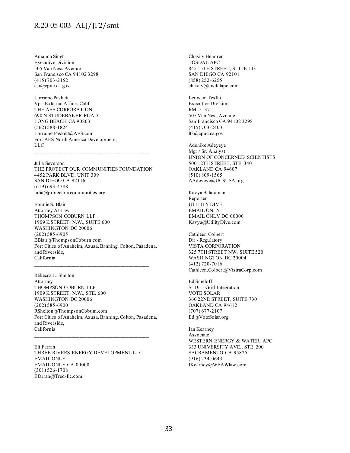Amanda Singh Executive Division 505 Van Ness Avenue San Francisco CA 94102 3298 (415) 703-2452 asi@cpuc.ca.gov

Lorraine Paskett Vp - External Affairs Calif. THE AES CORPORATION 690 N STUDEBAKER ROAD LONG BEACH CA 90803 (562) 588-1824 Lorraine.Paskett@AES.com For: AES North America Development, LLC

Julia Severson THE PROTECT OUR COMMUNITIES FOUNDATION 4452 PARK BLVD, UNIT 309 SAN DIEGO CA 92116 (619) 693-4788 julia@protectourcommunities.org

Bonnie S. Blair Attorney At Law THOMPSON COBURN LLP 1909 K STREET, N.W., SUITE 600 WASHINGTON DC 20006 (202) 585-6905 BBlair@ThompsonCoburn.com For: Cities of Anaheim, Azusa, Banning, Colton, Pasadena, and Riverside, California

 $\mathcal{L}_\text{max}$  and the contract of the contract of the contract of the contract of the contract of the contract of the contract of the contract of the contract of the contract of the contract of the contract of the contrac

Rebecca L. Shelton Attorney THOMPSON COBURN LLP 1909 K STREET, N.W., STE. 600 WASHINGTON DC 20006 (202) 585-6900 RShelton@ThompsonCoburn.com For: Cities of Anaheim, Azusa, Banning, Colton, Pasadena, and Riverside, California

Eli Farrah THREE RIVERS ENERGY DEVELOPMENT LLC EMAIL ONLY EMAIL ONLY CA 00000 (301) 526-1708 Efarrah@Tred-llc.com

Chasity Hendren TOSDAL APC 845 15TH STREET, SUITE 103 SAN DIEGO CA 92101 (858) 252-6255 chasity@tosdalapc.com

Leuwam Tesfai Executive Division RM. 5137 505 Van Ness Avenue San Francisco CA 94102 3298 (415) 703-2403 lt3@cpuc.ca.gov

Adenike Adeyeye Mgr / Sr. Analyst UNION OF CONCERNED SCIENTISTS 500 12TH STREET, STE. 340 OAKLAND CA 94607 (510) 809-1565 AAdeyeye@UCSUSA.org

Kavya Balaraman Reporter UTILITY DIVE EMAIL ONLY EMAIL ONLY DC 00000 Kavya@UtilityDive.com

Cathleen Colbert Dir - Regulatory VISTA CORPORATION 325 7TH STREET NW, SUITE 520 WASHINGTON DC 20004 (412) 720-7016 Cathleen.Colbert@VistraCorp.com

Ed Smeloff Sr Dir - Grid Integration VOTE SOLAR 360 22ND STREET, SUITE 730 OAKLAND CA 94612 (707) 677-2107 Ed@VoteSolar.org

Ian Kearney Associate WESTERN ENERGY & WATER, APC 333 UNIVERSITY AVE., STE. 200 SACRAMENTO CA 95825 (916) 234-0643 IKearney@WEAWlaw.com